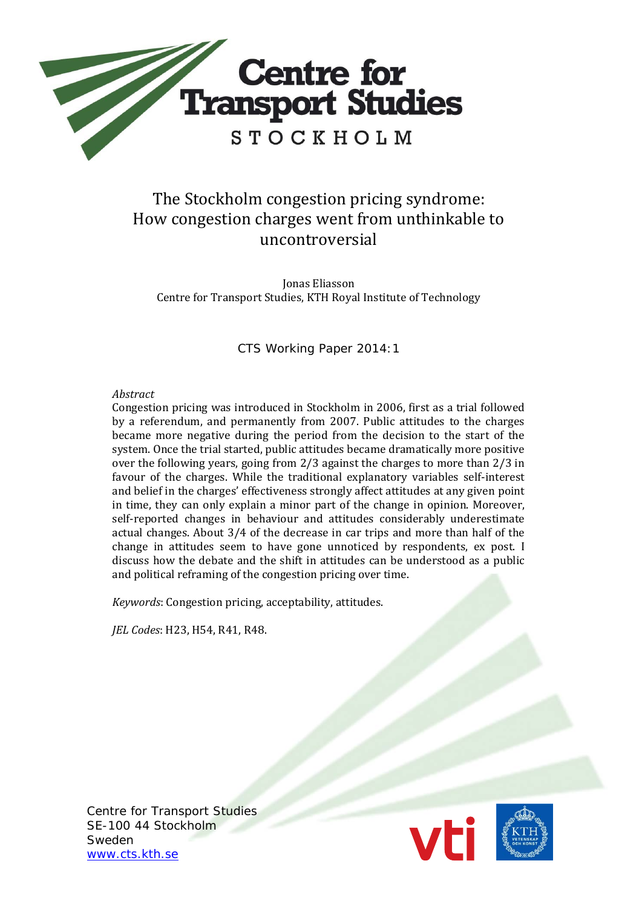

# The Stockholm congestion pricing syndrome: How congestion charges went from unthinkable to uncontroversial

Jonas Eliasson Centre for Transport Studies, KTH Royal Institute of Technology

CTS Working Paper 2014:1

#### *Abstract*

Congestion pricing was introduced in Stockholm in 2006, first as a trial followed by a referendum, and permanently from 2007. Public attitudes to the charges became more negative during the period from the decision to the start of the system. Once the trial started, public attitudes became dramatically more positive over the following years, going from  $2/3$  against the charges to more than  $2/3$  in favour of the charges. While the traditional explanatory variables self-interest and belief in the charges' effectiveness strongly affect attitudes at any given point in time, they can only explain a minor part of the change in opinion. Moreover, self-reported changes in behaviour and attitudes considerably underestimate actual changes. About  $3/4$  of the decrease in car trips and more than half of the change in attitudes seem to have gone unnoticed by respondents, ex post. I discuss how the debate and the shift in attitudes can be understood as a public and political reframing of the congestion pricing over time.

*Keywords*: Congestion pricing, acceptability, attitudes.

*JEL Codes*: H23, H54, R41, R48.

Centre for Transport Studies SE-100 44 Stockholm Sweden *www.cts.kth.se* 

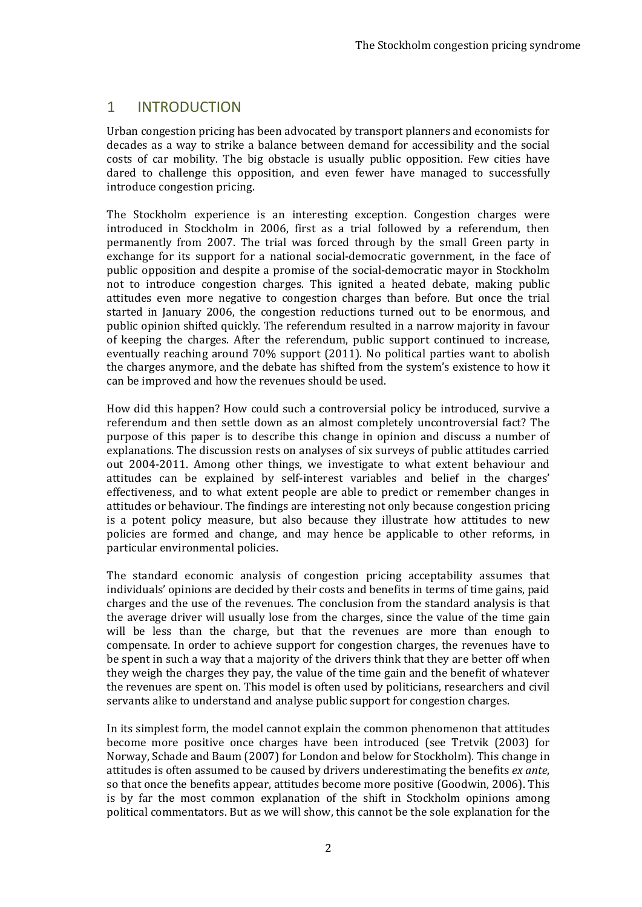## 1 INTRODUCTION

Urban congestion pricing has been advocated by transport planners and economists for decades as a way to strike a balance between demand for accessibility and the social costs of car mobility. The big obstacle is usually public opposition. Few cities have dared to challenge this opposition, and even fewer have managed to successfully introduce congestion pricing.

The Stockholm experience is an interesting exception. Congestion charges were introduced in Stockholm in 2006, first as a trial followed by a referendum, then permanently from 2007. The trial was forced through by the small Green party in exchange for its support for a national social-democratic government, in the face of public opposition and despite a promise of the social-democratic mayor in Stockholm not to introduce congestion charges. This ignited a heated debate, making public attitudes even more negative to congestion charges than before. But once the trial started in January 2006, the congestion reductions turned out to be enormous, and public opinion shifted quickly. The referendum resulted in a narrow majority in favour of keeping the charges. After the referendum, public support continued to increase, eventually reaching around  $70\%$  support  $(2011)$ . No political parties want to abolish the charges anymore, and the debate has shifted from the system's existence to how it can be improved and how the revenues should be used.

How did this happen? How could such a controversial policy be introduced, survive a referendum and then settle down as an almost completely uncontroversial fact? The purpose of this paper is to describe this change in opinion and discuss a number of explanations. The discussion rests on analyses of six surveys of public attitudes carried out 2004-2011. Among other things, we investigate to what extent behaviour and attitudes can be explained by self‐interest variables and belief in the charges' effectiveness, and to what extent people are able to predict or remember changes in attitudes or behaviour. The findings are interesting not only because congestion pricing is a potent policy measure, but also because they illustrate how attitudes to new policies are formed and change, and may hence be applicable to other reforms, in particular environmental policies.

The standard economic analysis of congestion pricing acceptability assumes that individuals' opinions are decided by their costs and benefits in terms of time gains, paid charges and the use of the revenues. The conclusion from the standard analysis is that the average driver will usually lose from the charges, since the value of the time gain will be less than the charge, but that the revenues are more than enough to compensate. In order to achieve support for congestion charges, the revenues have to be spent in such a way that a majority of the drivers think that they are better off when they weigh the charges they pay, the value of the time gain and the benefit of whatever the revenues are spent on. This model is often used by politicians, researchers and civil servants alike to understand and analyse public support for congestion charges.

In its simplest form, the model cannot explain the common phenomenon that attitudes become more positive once charges have been introduced (see Tretvik (2003) for Norway, Schade and Baum (2007) for London and below for Stockholm). This change in attitudes is often assumed to be caused by drivers underestimating the benefits *ex ante*, so that once the benefits appear, attitudes become more positive (Goodwin, 2006). This is by far the most common explanation of the shift in Stockholm opinions among political commentators. But as we will show, this cannot be the sole explanation for the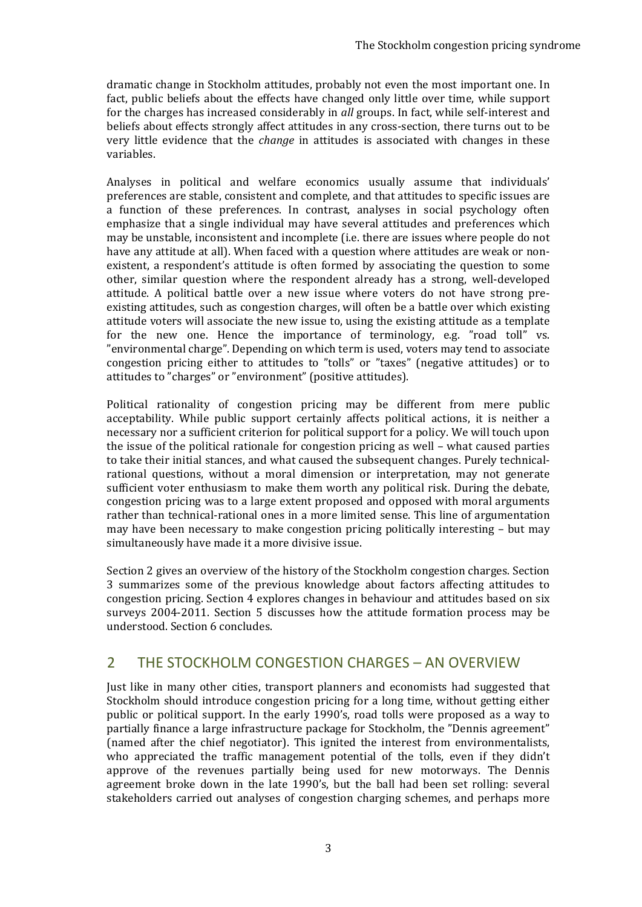dramatic change in Stockholm attitudes, probably not even the most important one. In fact, public beliefs about the effects have changed only little over time, while support for the charges has increased considerably in *all* groups. In fact, while self-interest and beliefs about effects strongly affect attitudes in any cross-section, there turns out to be very little evidence that the *change* in attitudes is associated with changes in these variables. 

Analyses in political and welfare economics usually assume that individuals' preferences are stable, consistent and complete, and that attitudes to specific issues are a function of these preferences. In contrast, analyses in social psychology often emphasize that a single individual may have several attitudes and preferences which may be unstable, inconsistent and incomplete (i.e. there are issues where people do not have any attitude at all). When faced with a question where attitudes are weak or nonexistent, a respondent's attitude is often formed by associating the question to some other, similar question where the respondent already has a strong, well-developed attitude. A political battle over a new issue where voters do not have strong preexisting attitudes, such as congestion charges, will often be a battle over which existing attitude voters will associate the new issue to, using the existing attitude as a template for the new one. Hence the importance of terminology, e.g. "road toll" vs. "environmental charge". Depending on which term is used, voters may tend to associate congestion pricing either to attitudes to "tolls" or "taxes" (negative attitudes) or to attitudes to "charges" or "environment" (positive attitudes).

Political rationality of congestion pricing may be different from mere public acceptability. While public support certainly affects political actions, it is neither a necessary nor a sufficient criterion for political support for a policy. We will touch upon the issue of the political rationale for congestion pricing as well  $-$  what caused parties to take their initial stances, and what caused the subsequent changes. Purely technicalrational questions, without a moral dimension or interpretation, may not generate sufficient voter enthusiasm to make them worth any political risk. During the debate, congestion pricing was to a large extent proposed and opposed with moral arguments rather than technical-rational ones in a more limited sense. This line of argumentation may have been necessary to make congestion pricing politically interesting  $-$  but may simultaneously have made it a more divisive issue.

Section 2 gives an overview of the history of the Stockholm congestion charges. Section 3 summarizes some of the previous knowledge about factors affecting attitudes to congestion pricing. Section 4 explores changes in behaviour and attitudes based on six surveys 2004-2011. Section 5 discusses how the attitude formation process may be understood. Section 6 concludes.

## 2 THE STOCKHOLM CONGESTION CHARGES – AN OVERVIEW

Just like in many other cities, transport planners and economists had suggested that Stockholm should introduce congestion pricing for a long time, without getting either public or political support. In the early 1990's, road tolls were proposed as a way to partially finance a large infrastructure package for Stockholm, the "Dennis agreement" (named after the chief negotiator). This ignited the interest from environmentalists, who appreciated the traffic management potential of the tolls, even if they didn't approve of the revenues partially being used for new motorways. The Dennis agreement broke down in the late 1990's, but the ball had been set rolling: several stakeholders carried out analyses of congestion charging schemes, and perhaps more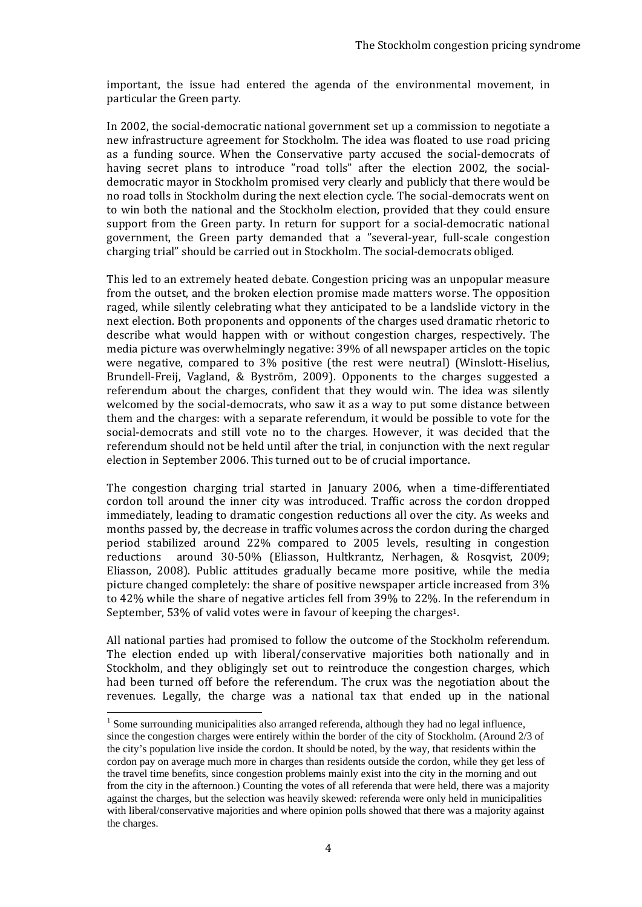important, the issue had entered the agenda of the environmental movement, in particular the Green party.

In 2002, the social-democratic national government set up a commission to negotiate a new infrastructure agreement for Stockholm. The idea was floated to use road pricing as a funding source. When the Conservative party accused the social-democrats of having secret plans to introduce "road tolls" after the election 2002, the socialdemocratic mayor in Stockholm promised very clearly and publicly that there would be no road tolls in Stockholm during the next election cycle. The social-democrats went on to win both the national and the Stockholm election, provided that they could ensure support from the Green party. In return for support for a social-democratic national government, the Green party demanded that a "several-year, full-scale congestion charging trial" should be carried out in Stockholm. The social-democrats obliged.

This led to an extremely heated debate. Congestion pricing was an unpopular measure from the outset, and the broken election promise made matters worse. The opposition raged, while silently celebrating what they anticipated to be a landslide victory in the next election. Both proponents and opponents of the charges used dramatic rhetoric to describe what would happen with or without congestion charges, respectively. The media picture was overwhelmingly negative: 39% of all newspaper articles on the topic were negative, compared to  $3\%$  positive (the rest were neutral) (Winslott-Hiselius, Brundell-Freij, Vagland, & Byström, 2009). Opponents to the charges suggested a referendum about the charges, confident that they would win. The idea was silently welcomed by the social-democrats, who saw it as a way to put some distance between them and the charges: with a separate referendum, it would be possible to vote for the social-democrats and still vote no to the charges. However, it was decided that the referendum should not be held until after the trial, in conjunction with the next regular election in September 2006. This turned out to be of crucial importance.

The congestion charging trial started in January 2006, when a time-differentiated cordon toll around the inner city was introduced. Traffic across the cordon dropped immediately, leading to dramatic congestion reductions all over the city. As weeks and months passed by, the decrease in traffic volumes across the cordon during the charged period stabilized around 22% compared to 2005 levels, resulting in congestion reductions around 30-50% (Eliasson, Hultkrantz, Nerhagen, & Rosqvist, 2009; Eliasson, 2008). Public attitudes gradually became more positive, while the media picture changed completely: the share of positive newspaper article increased from  $3\%$ to  $42\%$  while the share of negative articles fell from 39% to 22%. In the referendum in September,  $53\%$  of valid votes were in favour of keeping the charges<sup>1</sup>.

All national parties had promised to follow the outcome of the Stockholm referendum. The election ended up with liberal/conservative majorities both nationally and in Stockholm, and they obligingly set out to reintroduce the congestion charges, which had been turned off before the referendum. The crux was the negotiation about the revenues. Legally, the charge was a national tax that ended up in the national

<u> 1989 - Johann Stein, fransk politik (d. 1989)</u>

 $1$  Some surrounding municipalities also arranged referenda, although they had no legal influence, since the congestion charges were entirely within the border of the city of Stockholm. (Around 2/3 of the city's population live inside the cordon. It should be noted, by the way, that residents within the cordon pay on average much more in charges than residents outside the cordon, while they get less of the travel time benefits, since congestion problems mainly exist into the city in the morning and out from the city in the afternoon.) Counting the votes of all referenda that were held, there was a majority against the charges, but the selection was heavily skewed: referenda were only held in municipalities with liberal/conservative majorities and where opinion polls showed that there was a majority against the charges.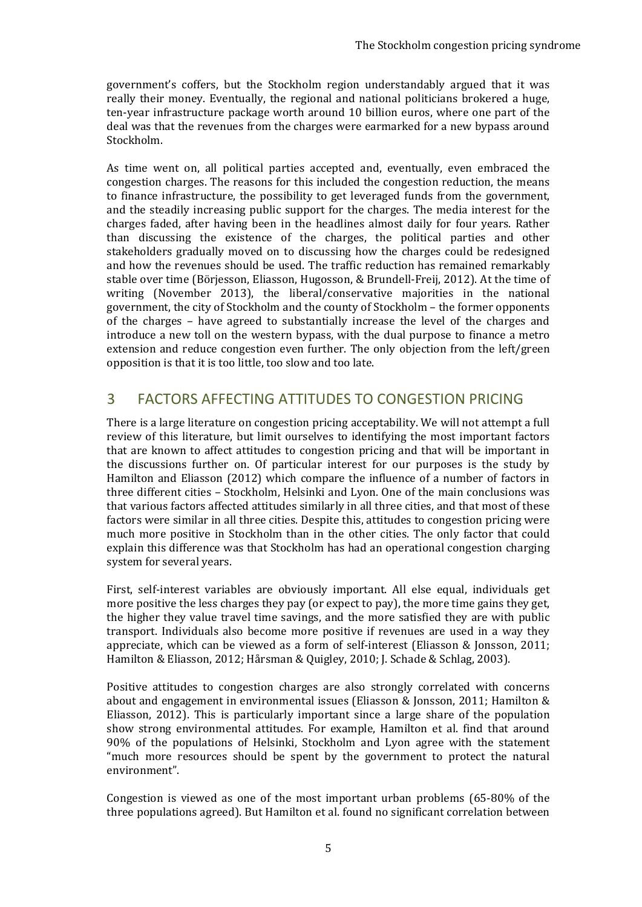government's coffers, but the Stockholm region understandably argued that it was really their money. Eventually, the regional and national politicians brokered a huge, ten-year infrastructure package worth around 10 billion euros, where one part of the deal was that the revenues from the charges were earmarked for a new bypass around Stockholm. 

As time went on, all political parties accepted and, eventually, even embraced the congestion charges. The reasons for this included the congestion reduction, the means to finance infrastructure, the possibility to get leveraged funds from the government. and the steadily increasing public support for the charges. The media interest for the charges faded, after having been in the headlines almost daily for four years. Rather than discussing the existence of the charges, the political parties and other stakeholders gradually moved on to discussing how the charges could be redesigned and how the revenues should be used. The traffic reduction has remained remarkably stable over time (Börjesson, Eliasson, Hugosson, & Brundell-Freij, 2012). At the time of writing (November 2013), the liberal/conservative majorities in the national government, the city of Stockholm and the county of Stockholm - the former opponents of the charges – have agreed to substantially increase the level of the charges and introduce a new toll on the western bypass, with the dual purpose to finance a metro extension and reduce congestion even further. The only objection from the left/green opposition is that it is too little, too slow and too late.

## 3 FACTORS AFFECTING ATTITUDES TO CONGESTION PRICING

There is a large literature on congestion pricing acceptability. We will not attempt a full review of this literature, but limit ourselves to identifying the most important factors that are known to affect attitudes to congestion pricing and that will be important in the discussions further on. Of particular interest for our purposes is the study by Hamilton and Eliasson  $(2012)$  which compare the influence of a number of factors in three different cities  $-$  Stockholm, Helsinki and Lyon. One of the main conclusions was that various factors affected attitudes similarly in all three cities, and that most of these factors were similar in all three cities. Despite this, attitudes to congestion pricing were much more positive in Stockholm than in the other cities. The only factor that could explain this difference was that Stockholm has had an operational congestion charging system for several years.

First, self-interest variables are obviously important. All else equal, individuals get more positive the less charges they pay (or expect to pay), the more time gains they get, the higher they value travel time savings, and the more satisfied they are with public transport. Individuals also become more positive if revenues are used in a way they appreciate, which can be viewed as a form of self-interest (Eliasson & Jonsson, 2011; Hamilton & Eliasson, 2012; Hårsman & Quigley, 2010; J. Schade & Schlag, 2003).

Positive attitudes to congestion charges are also strongly correlated with concerns about and engagement in environmental issues (Eliasson & Jonsson, 2011; Hamilton & Eliasson, 2012). This is particularly important since a large share of the population show strong environmental attitudes. For example, Hamilton et al. find that around 90% of the populations of Helsinki, Stockholm and Lyon agree with the statement "much more resources should be spent by the government to protect the natural environment". 

Congestion is viewed as one of the most important urban problems  $(65-80\%$  of the three populations agreed). But Hamilton et al. found no significant correlation between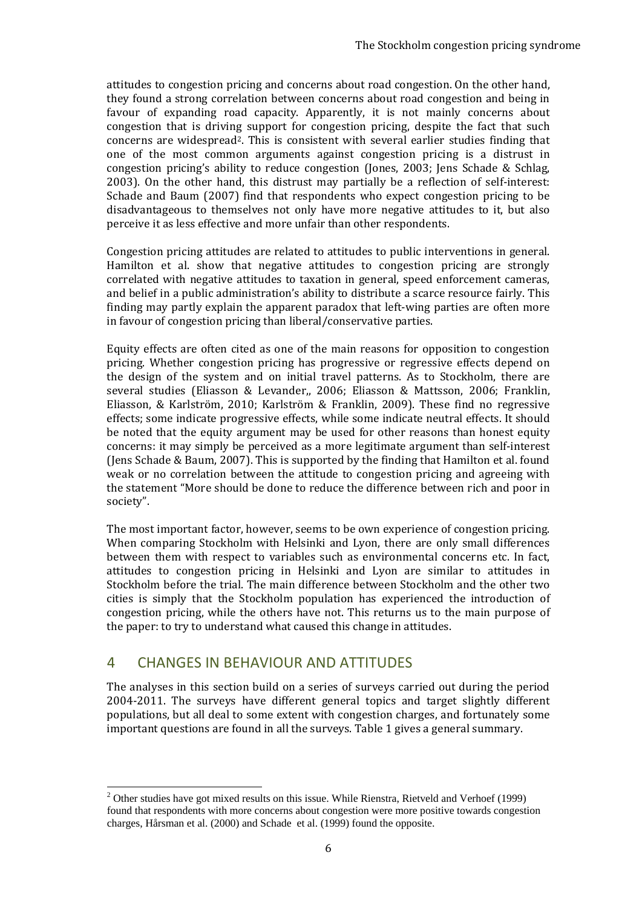attitudes to congestion pricing and concerns about road congestion. On the other hand, they found a strong correlation between concerns about road congestion and being in favour of expanding road capacity. Apparently, it is not mainly concerns about congestion that is driving support for congestion pricing, despite the fact that such concerns are widespread<sup>2</sup>. This is consistent with several earlier studies finding that one of the most common arguments against congestion pricing is a distrust in congestion pricing's ability to reduce congestion (Jones, 2003; Jens Schade & Schlag, 2003). On the other hand, this distrust may partially be a reflection of self-interest: Schade and Baum (2007) find that respondents who expect congestion pricing to be disadvantageous to themselves not only have more negative attitudes to it, but also perceive it as less effective and more unfair than other respondents.

Congestion pricing attitudes are related to attitudes to public interventions in general. Hamilton et al. show that negative attitudes to congestion pricing are strongly correlated with negative attitudes to taxation in general, speed enforcement cameras, and belief in a public administration's ability to distribute a scarce resource fairly. This finding may partly explain the apparent paradox that left-wing parties are often more in favour of congestion pricing than liberal/conservative parties.

Equity effects are often cited as one of the main reasons for opposition to congestion pricing. Whether congestion pricing has progressive or regressive effects depend on the design of the system and on initial travel patterns. As to Stockholm, there are several studies (Eliasson & Levander,, 2006; Eliasson & Mattsson, 2006; Franklin, Eliasson, & Karlström, 2010; Karlström & Franklin, 2009). These find no regressive effects; some indicate progressive effects, while some indicate neutral effects. It should be noted that the equity argument may be used for other reasons than honest equity concerns: it may simply be perceived as a more legitimate argument than self-interest (Jens Schade & Baum, 2007). This is supported by the finding that Hamilton et al. found weak or no correlation between the attitude to congestion pricing and agreeing with the statement "More should be done to reduce the difference between rich and poor in society". 

The most important factor, however, seems to be own experience of congestion pricing. When comparing Stockholm with Helsinki and Lyon, there are only small differences between them with respect to variables such as environmental concerns etc. In fact, attitudes to congestion pricing in Helsinki and Lyon are similar to attitudes in Stockholm before the trial. The main difference between Stockholm and the other two cities is simply that the Stockholm population has experienced the introduction of congestion pricing, while the others have not. This returns us to the main purpose of the paper: to try to understand what caused this change in attitudes.

## 4 CHANGES IN BEHAVIOUR AND ATTITUDES

<u> 1989 - Johann Stein, fransk politik (d. 1989)</u>

The analyses in this section build on a series of surveys carried out during the period 2004-2011. The surveys have different general topics and target slightly different populations, but all deal to some extent with congestion charges, and fortunately some important questions are found in all the surveys. Table 1 gives a general summary.

 $2$  Other studies have got mixed results on this issue. While Rienstra, Rietveld and Verhoef (1999) found that respondents with more concerns about congestion were more positive towards congestion charges, Hårsman et al. (2000) and Schade et al. (1999) found the opposite.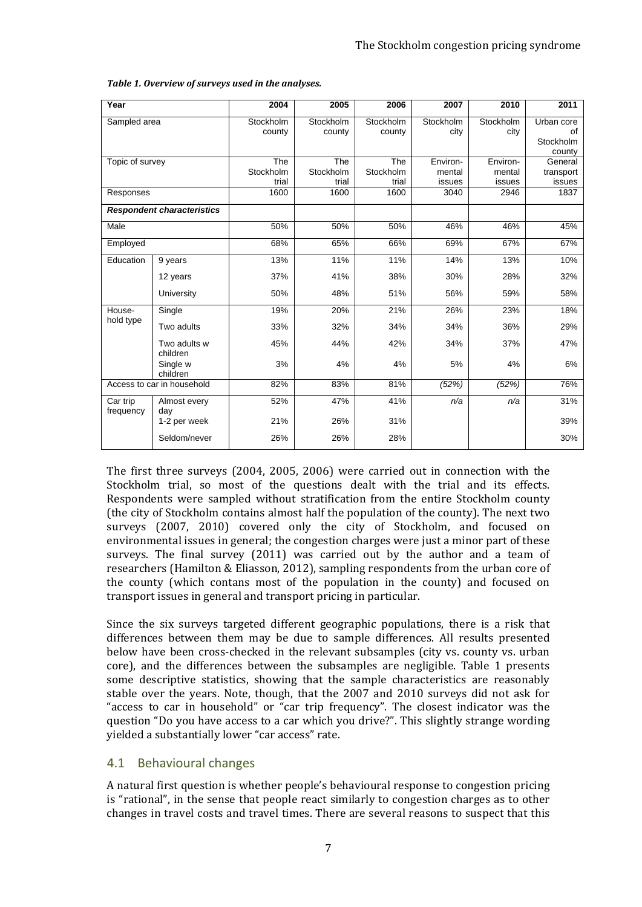| Year                         |                                   | 2004                              | 2005                              | 2006                              | 2007                                 | 2010                                 | 2011                                             |
|------------------------------|-----------------------------------|-----------------------------------|-----------------------------------|-----------------------------------|--------------------------------------|--------------------------------------|--------------------------------------------------|
| Sampled area                 |                                   | Stockholm<br>county               | Stockholm<br>county               | Stockholm<br>county               | Stockholm<br>city                    | Stockholm<br>city                    | Urban core<br>οf<br>Stockholm                    |
| Topic of survey<br>Responses |                                   | The<br>Stockholm<br>trial<br>1600 | The<br>Stockholm<br>trial<br>1600 | The<br>Stockholm<br>trial<br>1600 | Environ-<br>mental<br>issues<br>3040 | Environ-<br>mental<br>issues<br>2946 | county<br>General<br>transport<br>issues<br>1837 |
|                              | <b>Respondent characteristics</b> |                                   |                                   |                                   |                                      |                                      |                                                  |
| Male                         |                                   | 50%                               | 50%                               | 50%                               | 46%                                  | 46%                                  | 45%                                              |
| Employed                     |                                   | 68%                               | 65%                               | 66%                               | 69%                                  | 67%                                  | 67%                                              |
| Education                    | 9 years                           | 13%                               | 11%                               | 11%                               | 14%                                  | 13%                                  | 10%                                              |
|                              | 12 years                          | 37%                               | 41%                               | 38%                               | 30%                                  | 28%                                  | 32%                                              |
|                              | University                        | 50%                               | 48%                               | 51%                               | 56%                                  | 59%                                  | 58%                                              |
| House-                       | Single                            | 19%                               | 20%                               | 21%                               | 26%                                  | 23%                                  | 18%                                              |
| hold type                    | Two adults                        | 33%                               | 32%                               | 34%                               | 34%                                  | 36%                                  | 29%                                              |
|                              | Two adults w<br>children          | 45%                               | 44%                               | 42%                               | 34%                                  | 37%                                  | 47%                                              |
|                              | Single w<br>children              | 3%                                | 4%                                | 4%                                | 5%                                   | 4%                                   | 6%                                               |
| Access to car in household   |                                   | 82%                               | 83%                               | 81%                               | (52%)                                | (52%)                                | 76%                                              |
| Car trip                     | Almost every                      | 52%                               | 47%                               | 41%                               | n/a                                  | n/a                                  | 31%                                              |
| frequency                    | day<br>1-2 per week               | 21%                               | 26%                               | 31%                               |                                      |                                      | 39%                                              |
|                              | Seldom/never                      | 26%                               | 26%                               | 28%                               |                                      |                                      | 30%                                              |

| Table 1. Overview of surveys used in the analyses. |  |  |
|----------------------------------------------------|--|--|
|                                                    |  |  |

The first three surveys  $(2004, 2005, 2006)$  were carried out in connection with the Stockholm trial, so most of the questions dealt with the trial and its effects. Respondents were sampled without stratification from the entire Stockholm county (the city of Stockholm contains almost half the population of the county). The next two surveys (2007, 2010) covered only the city of Stockholm, and focused on environmental issues in general; the congestion charges were just a minor part of these surveys. The final survey (2011) was carried out by the author and a team of researchers (Hamilton & Eliasson, 2012), sampling respondents from the urban core of the county (which contans most of the population in the county) and focused on transport issues in general and transport pricing in particular.

Since the six surveys targeted different geographic populations, there is a risk that differences between them may be due to sample differences. All results presented below have been cross-checked in the relevant subsamples (city vs. county vs. urban core), and the differences between the subsamples are negligible. Table 1 presents some descriptive statistics, showing that the sample characteristics are reasonably stable over the years. Note, though, that the 2007 and 2010 surveys did not ask for "access to car in household" or "car trip frequency". The closest indicator was the question "Do you have access to a car which you drive?". This slightly strange wording yielded a substantially lower "car access" rate.

### 4.1 Behavioural changes

A natural first question is whether people's behavioural response to congestion pricing is "rational", in the sense that people react similarly to congestion charges as to other changes in travel costs and travel times. There are several reasons to suspect that this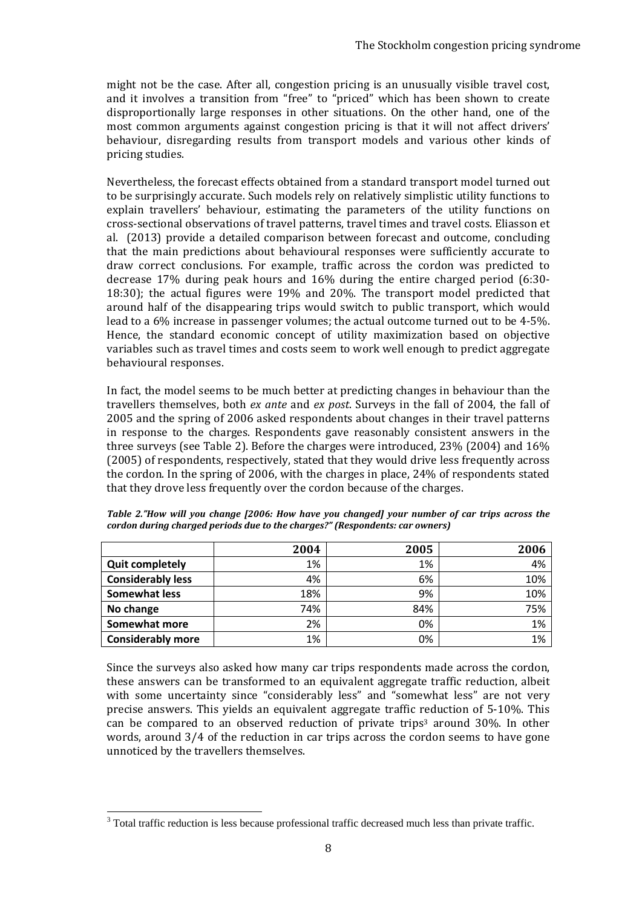might not be the case. After all, congestion pricing is an unusually visible travel cost, and it involves a transition from "free" to "priced" which has been shown to create disproportionally large responses in other situations. On the other hand, one of the most common arguments against congestion pricing is that it will not affect drivers' behaviour, disregarding results from transport models and various other kinds of pricing studies.

Nevertheless, the forecast effects obtained from a standard transport model turned out to be surprisingly accurate. Such models rely on relatively simplistic utility functions to explain travellers' behaviour, estimating the parameters of the utility functions on cross‐sectional observations of travel patterns, travel times and travel costs. Eliasson et al. (2013) provide a detailed comparison between forecast and outcome, concluding that the main predictions about behavioural responses were sufficiently accurate to draw correct conclusions. For example, traffic across the cordon was predicted to decrease  $17\%$  during peak hours and  $16\%$  during the entire charged period  $(6:30$ -18:30); the actual figures were  $19\%$  and  $20\%$ . The transport model predicted that around half of the disappearing trips would switch to public transport, which would lead to a  $6\%$  increase in passenger volumes; the actual outcome turned out to be 4-5%. Hence, the standard economic concept of utility maximization based on objective variables such as travel times and costs seem to work well enough to predict aggregate behavioural responses.

In fact, the model seems to be much better at predicting changes in behaviour than the travellers themselves, both *ex* ante and *ex post*. Surveys in the fall of 2004, the fall of 2005 and the spring of 2006 asked respondents about changes in their travel patterns in response to the charges. Respondents gave reasonably consistent answers in the three surveys (see Table 2). Before the charges were introduced,  $23\%$  (2004) and  $16\%$ (2005) of respondents, respectively, stated that they would drive less frequently across the cordon. In the spring of 2006, with the charges in place, 24% of respondents stated that they drove less frequently over the cordon because of the charges.

|                          | 2004 | 2005 | 2006 |
|--------------------------|------|------|------|
| <b>Quit completely</b>   | 1%   | 1%   | 4%   |
| <b>Considerably less</b> | 4%   | 6%   | 10%  |
| Somewhat less            | 18%  | 9%   | 10%  |
| No change                | 74%  | 84%  | 75%  |
| Somewhat more            | 2%   | 0%   | 1%   |
| <b>Considerably more</b> | 1%   | 0%   | 1%   |

*Table 2."How will you change [2006: How have you changed] your number of car trips across the cordon during charged periods due to the charges?" (Respondents: car owners)* 

Since the surveys also asked how many car trips respondents made across the cordon, these answers can be transformed to an equivalent aggregate traffic reduction, albeit with some uncertainty since "considerably less" and "somewhat less" are not very precise answers. This yields an equivalent aggregate traffic reduction of 5-10%. This can be compared to an observed reduction of private trips<sup>3</sup> around 30%. In other words, around  $3/4$  of the reduction in car trips across the cordon seems to have gone unnoticed by the travellers themselves.

 <sup>3</sup> Total traffic reduction is less because professional traffic decreased much less than private traffic.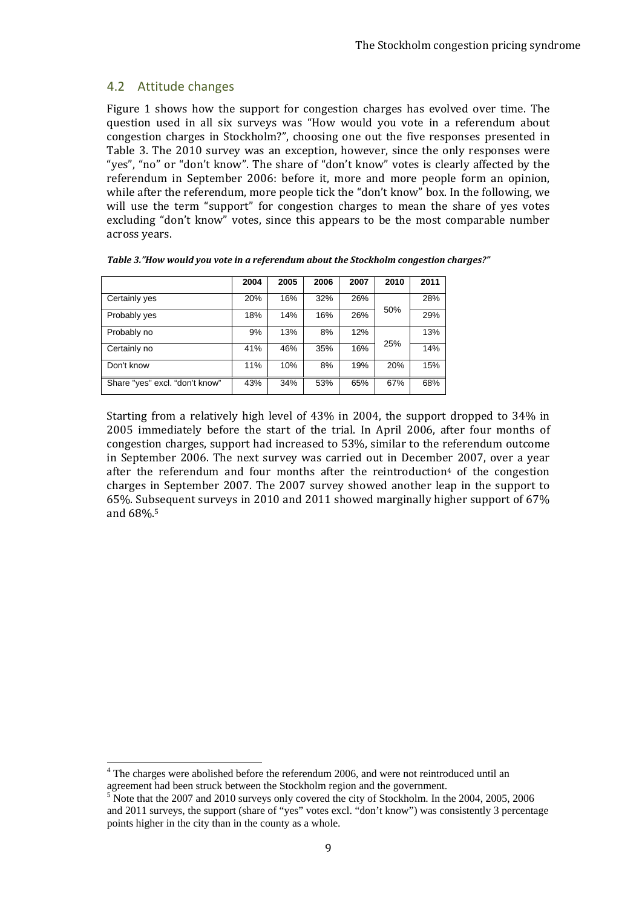## 4.2 Attitude changes

Figure 1 shows how the support for congestion charges has evolved over time. The question used in all six surveys was "How would you vote in a referendum about congestion charges in Stockholm?", choosing one out the five responses presented in Table 3. The 2010 survey was an exception, however, since the only responses were "yes", "no" or "don't know". The share of "don't know" votes is clearly affected by the referendum in September 2006: before it, more and more people form an opinion, while after the referendum, more people tick the "don't know" box. In the following, we will use the term "support" for congestion charges to mean the share of yes votes excluding "don't know" votes, since this appears to be the most comparable number across vears.

|                                | 2004 | 2005 | 2006 | 2007 | 2010 | 2011 |
|--------------------------------|------|------|------|------|------|------|
| Certainly yes                  | 20%  | 16%  | 32%  | 26%  | 50%  | 28%  |
| Probably yes                   | 18%  | 14%  | 16%  | 26%  |      | 29%  |
| Probably no                    | 9%   | 13%  | 8%   | 12%  | 25%  | 13%  |
| Certainly no                   | 41%  | 46%  | 35%  | 16%  |      | 14%  |
| Don't know                     | 11%  | 10%  | 8%   | 19%  | 20%  | 15%  |
| Share "yes" excl. "don't know" | 43%  | 34%  | 53%  | 65%  | 67%  | 68%  |

|  | Table 3."How would you vote in a referendum about the Stockholm congestion charges?" |
|--|--------------------------------------------------------------------------------------|

Starting from a relatively high level of 43% in 2004, the support dropped to 34% in 2005 immediately before the start of the trial. In April 2006, after four months of congestion charges, support had increased to  $53\%$ , similar to the referendum outcome in September 2006. The next survey was carried out in December 2007, over a year after the referendum and four months after the reintroduction<sup>4</sup> of the congestion charges in September 2007. The 2007 survey showed another leap in the support to 65%. Subsequent surveys in 2010 and 2011 showed marginally higher support of 67% and 68%.5

  $4$  The charges were abolished before the referendum 2006, and were not reintroduced until an agreement had been struck between the Stockholm region and the government.<sup>5</sup><br>Note that the 2007 and 2009.

Note that the 2007 and 2010 surveys only covered the city of Stockholm. In the 2004, 2005, 2006 and 2011 surveys, the support (share of "yes" votes excl. "don't know") was consistently 3 percentage points higher in the city than in the county as a whole.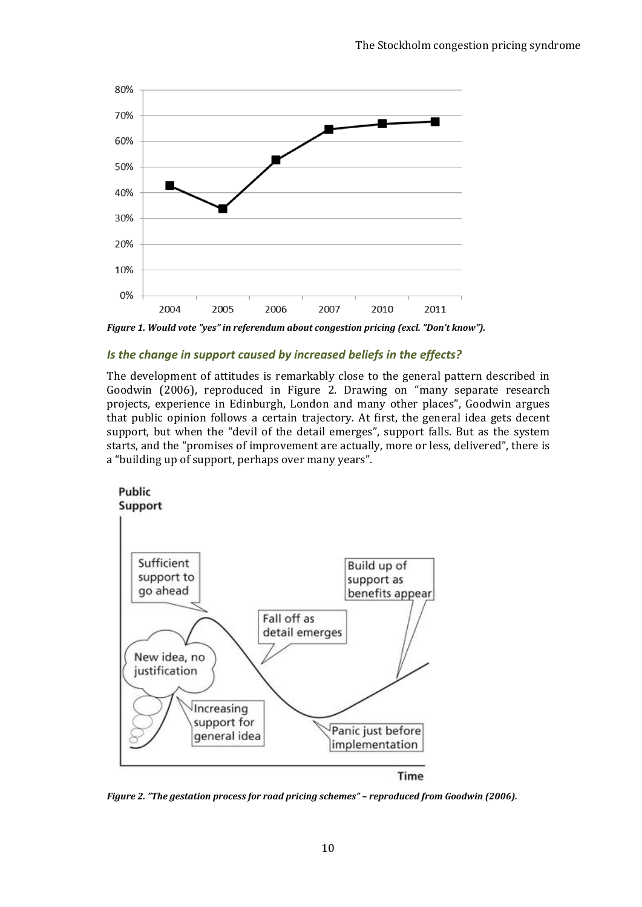

*Figure 1. Would vote "yes" in referendum about congestion pricing (excl. "Don't know").*

#### *Is the change in support caused by increased beliefs in the effects?*

The development of attitudes is remarkably close to the general pattern described in Goodwin (2006), reproduced in Figure 2. Drawing on "many separate research projects, experience in Edinburgh, London and many other places", Goodwin argues that public opinion follows a certain trajectory. At first, the general idea gets decent support, but when the "devil of the detail emerges", support falls. But as the system starts, and the "promises of improvement are actually, more or less, delivered", there is a "building up of support, perhaps over many years".



*Figure 2. "The gestation process for road pricing schemes" – reproduced from Goodwin (2006).*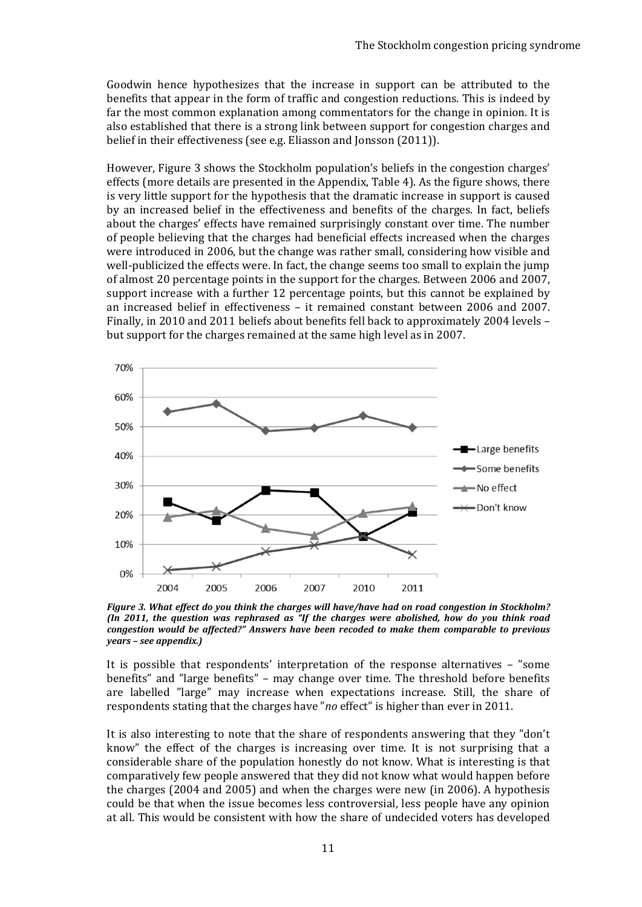Goodwin hence hypothesizes that the increase in support can be attributed to the benefits that appear in the form of traffic and congestion reductions. This is indeed by far the most common explanation among commentators for the change in opinion. It is also established that there is a strong link between support for congestion charges and belief in their effectiveness (see e.g. Eliasson and Jonsson (2011)).

However, Figure 3 shows the Stockholm population's beliefs in the congestion charges' effects (more details are presented in the Appendix, Table 4). As the figure shows, there is very little support for the hypothesis that the dramatic increase in support is caused by an increased belief in the effectiveness and benefits of the charges. In fact, beliefs about the charges' effects have remained surprisingly constant over time. The number of people believing that the charges had beneficial effects increased when the charges were introduced in 2006, but the change was rather small, considering how visible and well-publicized the effects were. In fact, the change seems too small to explain the jump of almost 20 percentage points in the support for the charges. Between 2006 and 2007, support increase with a further  $12$  percentage points, but this cannot be explained by an increased belief in effectiveness - it remained constant between 2006 and 2007. Finally, in 2010 and 2011 beliefs about benefits fell back to approximately 2004 levels  $$ but support for the charges remained at the same high level as in 2007.



*Figure 3. What effect do you think the charges will have/have had on road congestion in Stockholm? (In 2011, the question was rephrased as "If the charges were abolished, how do you think road congestion would be affected?" Answers have been recoded to make them comparable to previous years – see appendix.)*

It is possible that respondents' interpretation of the response alternatives - "some benefits" and "large benefits" - may change over time. The threshold before benefits are labelled "large" may increase when expectations increase. Still, the share of respondents stating that the charges have "no effect" is higher than ever in 2011.

It is also interesting to note that the share of respondents answering that they "don't know" the effect of the charges is increasing over time. It is not surprising that a considerable share of the population honestly do not know. What is interesting is that comparatively few people answered that they did not know what would happen before the charges  $(2004 \text{ and } 2005)$  and when the charges were new (in 2006). A hypothesis could be that when the issue becomes less controversial, less people have any opinion at all. This would be consistent with how the share of undecided voters has developed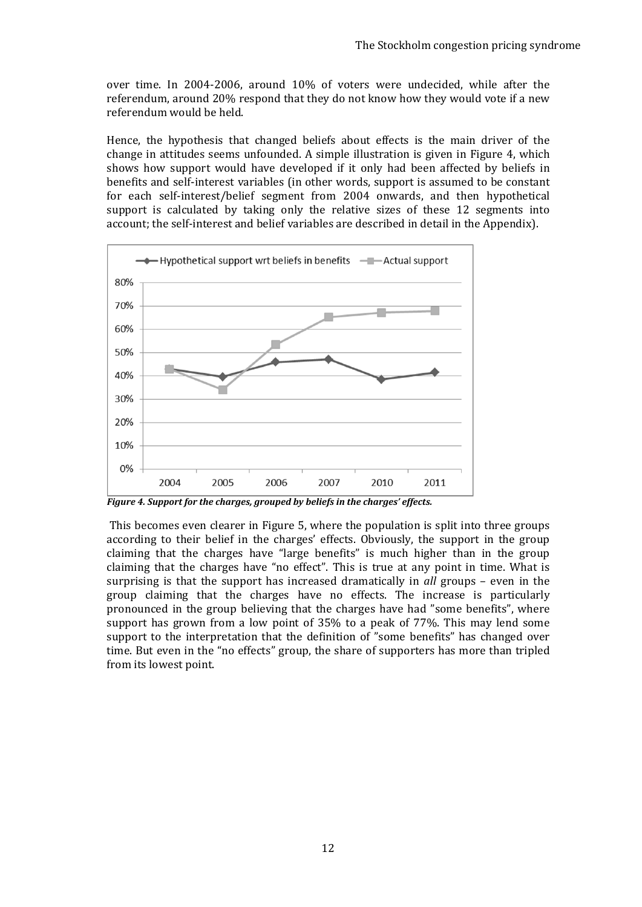over time. In  $2004-2006$ , around  $10\%$  of voters were undecided, while after the referendum, around 20% respond that they do not know how they would vote if a new referendum would be held.

Hence, the hypothesis that changed beliefs about effects is the main driver of the change in attitudes seems unfounded. A simple illustration is given in Figure 4, which shows how support would have developed if it only had been affected by beliefs in benefits and self-interest variables (in other words, support is assumed to be constant for each self-interest/belief segment from  $2004$  onwards, and then hypothetical support is calculated by taking only the relative sizes of these 12 segments into account; the self-interest and belief variables are described in detail in the Appendix).



*Figure 4. Support for the charges, grouped by beliefs in the charges' effects.* 

This becomes even clearer in Figure 5, where the population is split into three groups according to their belief in the charges' effects. Obviously, the support in the group claiming that the charges have "large benefits" is much higher than in the group claiming that the charges have "no effect". This is true at any point in time. What is surprising is that the support has increased dramatically in *all* groups – even in the group claiming that the charges have no effects. The increase is particularly pronounced in the group believing that the charges have had "some benefits", where support has grown from a low point of  $35\%$  to a peak of  $77\%$ . This may lend some support to the interpretation that the definition of "some benefits" has changed over time. But even in the "no effects" group, the share of supporters has more than tripled from its lowest point.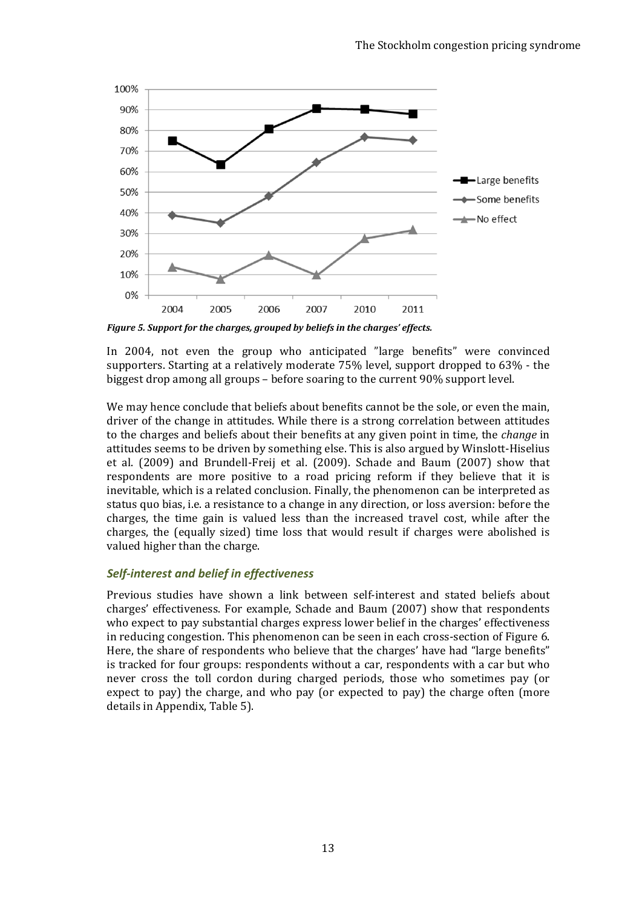

*Figure 5. Support for the charges, grouped by beliefs in the charges' effects.* 

In 2004, not even the group who anticipated "large benefits" were convinced supporters. Starting at a relatively moderate  $75\%$  level, support dropped to  $63\%$  - the biggest drop among all groups  $-$  before soaring to the current  $90\%$  support level.

We may hence conclude that beliefs about benefits cannot be the sole, or even the main, driver of the change in attitudes. While there is a strong correlation between attitudes to the charges and beliefs about their benefits at any given point in time, the *change* in attitudes seems to be driven by something else. This is also argued by Winslott-Hiselius et al.  $(2009)$  and Brundell-Freij et al.  $(2009)$ . Schade and Baum  $(2007)$  show that respondents are more positive to a road pricing reform if they believe that it is inevitable, which is a related conclusion. Finally, the phenomenon can be interpreted as status quo bias, i.e. a resistance to a change in any direction, or loss aversion; before the charges, the time gain is valued less than the increased travel cost, while after the charges, the (equally sized) time loss that would result if charges were abolished is valued higher than the charge.

#### *Self‐interest and belief in effectiveness*

Previous studies have shown a link between self-interest and stated beliefs about charges' effectiveness. For example, Schade and Baum (2007) show that respondents who expect to pay substantial charges express lower belief in the charges' effectiveness in reducing congestion. This phenomenon can be seen in each cross-section of Figure 6. Here, the share of respondents who believe that the charges' have had "large benefits" is tracked for four groups: respondents without a car, respondents with a car but who never cross the toll cordon during charged periods, those who sometimes pay (or expect to pay) the charge, and who pay (or expected to pay) the charge often (more details in Appendix, Table 5).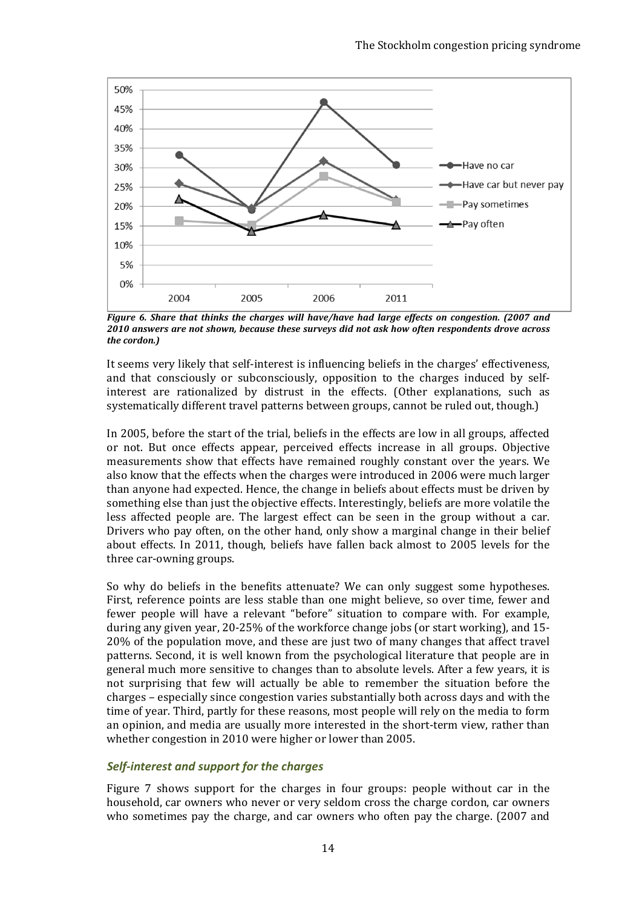

*Figure 6. Share that thinks the charges will have/have had large effects on congestion. (2007 and 2010 answers are not shown, because these surveys did not ask how often respondents drove across the cordon.)*

It seems very likely that self-interest is influencing beliefs in the charges' effectiveness, and that consciously or subconsciously, opposition to the charges induced by selfinterest are rationalized by distrust in the effects. (Other explanations, such as systematically different travel patterns between groups, cannot be ruled out, though.)

In 2005, before the start of the trial, beliefs in the effects are low in all groups, affected or not. But once effects appear, perceived effects increase in all groups. Objective measurements show that effects have remained roughly constant over the years. We also know that the effects when the charges were introduced in 2006 were much larger than anyone had expected. Hence, the change in beliefs about effects must be driven by something else than just the objective effects. Interestingly, beliefs are more volatile the less affected people are. The largest effect can be seen in the group without a car. Drivers who pay often, on the other hand, only show a marginal change in their belief about effects. In 2011, though, beliefs have fallen back almost to 2005 levels for the three car-owning groups.

So why do beliefs in the benefits attenuate? We can only suggest some hypotheses. First, reference points are less stable than one might believe, so over time, fewer and fewer people will have a relevant "before" situation to compare with. For example, during any given year, 20-25% of the workforce change jobs (or start working), and 15-20% of the population move, and these are just two of many changes that affect travel patterns. Second, it is well known from the psychological literature that people are in general much more sensitive to changes than to absolute levels. After a few years, it is not surprising that few will actually be able to remember the situation before the charges – especially since congestion varies substantially both across days and with the time of year. Third, partly for these reasons, most people will rely on the media to form an opinion, and media are usually more interested in the short-term view, rather than whether congestion in 2010 were higher or lower than 2005.

#### *Self‐interest and support for the charges*

Figure  $7$  shows support for the charges in four groups: people without car in the household, car owners who never or very seldom cross the charge cordon, car owners who sometimes pay the charge, and car owners who often pay the charge. (2007 and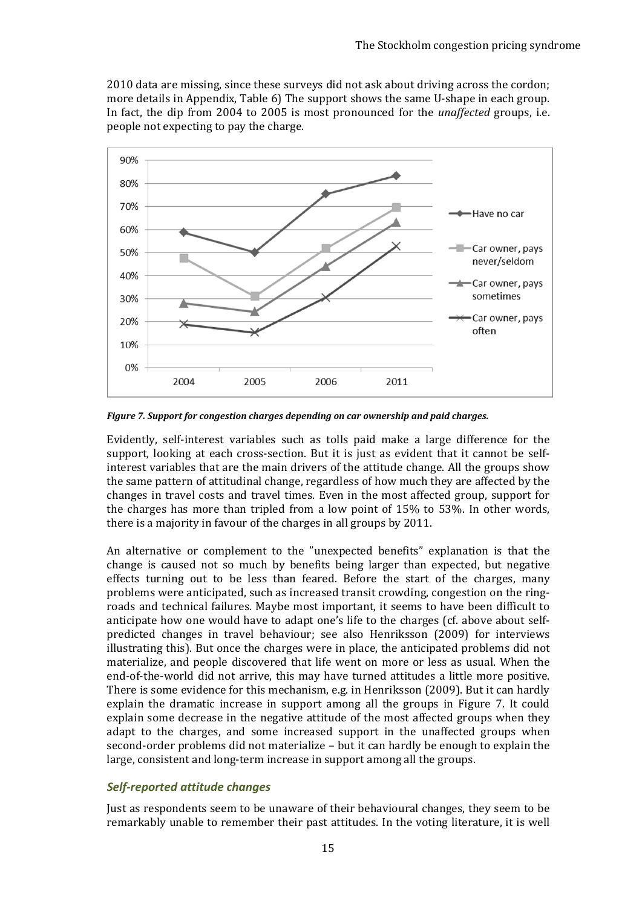2010 data are missing, since these surveys did not ask about driving across the cordon; more details in Appendix, Table 6) The support shows the same U-shape in each group. In fact, the dip from 2004 to 2005 is most pronounced for the *unaffected* groups, i.e. people not expecting to pay the charge.



*Figure 7. Support for congestion charges depending on car ownership and paid charges.*

Evidently, self-interest variables such as tolls paid make a large difference for the support, looking at each cross-section. But it is just as evident that it cannot be selfinterest variables that are the main drivers of the attitude change. All the groups show the same pattern of attitudinal change, regardless of how much they are affected by the changes in travel costs and travel times. Even in the most affected group, support for the charges has more than tripled from a low point of  $15\%$  to  $53\%$ . In other words, there is a majority in favour of the charges in all groups by 2011.

An alternative or complement to the "unexpected benefits" explanation is that the change is caused not so much by benefits being larger than expected, but negative effects turning out to be less than feared. Before the start of the charges, many problems were anticipated, such as increased transit crowding, congestion on the ringroads and technical failures. Maybe most important, it seems to have been difficult to anticipate how one would have to adapt one's life to the charges (cf. above about selfpredicted changes in travel behaviour; see also Henriksson (2009) for interviews illustrating this). But once the charges were in place, the anticipated problems did not materialize, and people discovered that life went on more or less as usual. When the end-of-the-world did not arrive, this may have turned attitudes a little more positive. There is some evidence for this mechanism, e.g. in Henriksson (2009). But it can hardly explain the dramatic increase in support among all the groups in Figure 7. It could explain some decrease in the negative attitude of the most affected groups when they adapt to the charges, and some increased support in the unaffected groups when second-order problems did not materialize - but it can hardly be enough to explain the large, consistent and long-term increase in support among all the groups.

### *Self‐reported attitude changes*

Just as respondents seem to be unaware of their behavioural changes, they seem to be remarkably unable to remember their past attitudes. In the voting literature, it is well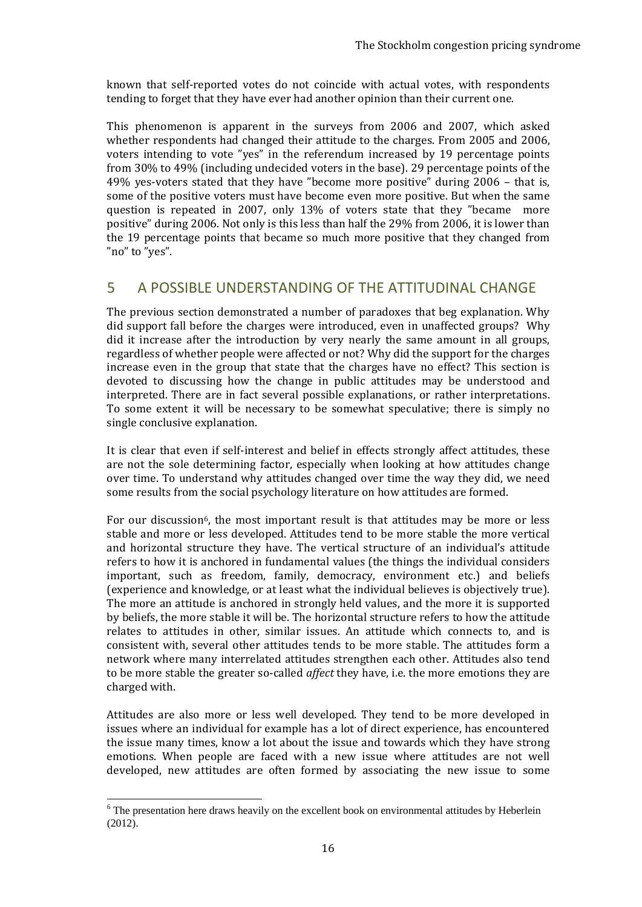known that self-reported votes do not coincide with actual votes, with respondents tending to forget that they have ever had another opinion than their current one.

This phenomenon is apparent in the surveys from 2006 and 2007, which asked whether respondents had changed their attitude to the charges. From 2005 and 2006, voters intending to vote "yes" in the referendum increased by 19 percentage points from 30% to 49% (including undecided voters in the base). 29 percentage points of the 49% yes-voters stated that they have "become more positive" during 2006 - that is, some of the positive voters must have become even more positive. But when the same question is repeated in 2007, only 13% of voters state that they "became more positive" during 2006. Not only is this less than half the 29% from 2006, it is lower than the 19 percentage points that became so much more positive that they changed from "no" to "ves".

## 5 A POSSIBLE UNDERSTANDING OF THE ATTITUDINAL CHANGE

The previous section demonstrated a number of paradoxes that beg explanation. Why did support fall before the charges were introduced, even in unaffected groups? Why did it increase after the introduction by very nearly the same amount in all groups, regardless of whether people were affected or not? Why did the support for the charges increase even in the group that state that the charges have no effect? This section is devoted to discussing how the change in public attitudes may be understood and interpreted. There are in fact several possible explanations, or rather interpretations. To some extent it will be necessary to be somewhat speculative; there is simply no single conclusive explanation.

It is clear that even if self-interest and belief in effects strongly affect attitudes, these are not the sole determining factor, especially when looking at how attitudes change over time. To understand why attitudes changed over time the way they did, we need some results from the social psychology literature on how attitudes are formed.

For our discussion<sup> $6$ </sup>, the most important result is that attitudes may be more or less stable and more or less developed. Attitudes tend to be more stable the more vertical and horizontal structure they have. The vertical structure of an individual's attitude refers to how it is anchored in fundamental values (the things the individual considers important, such as freedom, family, democracy, environment etc.) and beliefs (experience and knowledge, or at least what the individual believes is objectively true). The more an attitude is anchored in strongly held values, and the more it is supported by beliefs, the more stable it will be. The horizontal structure refers to how the attitude relates to attitudes in other, similar issues. An attitude which connects to, and is consistent with, several other attitudes tends to be more stable. The attitudes form a network where many interrelated attitudes strengthen each other. Attitudes also tend to be more stable the greater so-called *affect* they have, i.e. the more emotions they are charged with.

Attitudes are also more or less well developed. They tend to be more developed in issues where an individual for example has a lot of direct experience, has encountered the issue many times, know a lot about the issue and towards which they have strong emotions. When people are faced with a new issue where attitudes are not well developed, new attitudes are often formed by associating the new issue to some

<sup>&</sup>lt;sup>6</sup> The presentation here draws heavily on the excellent book on environmental attitudes by Heberlein (2012).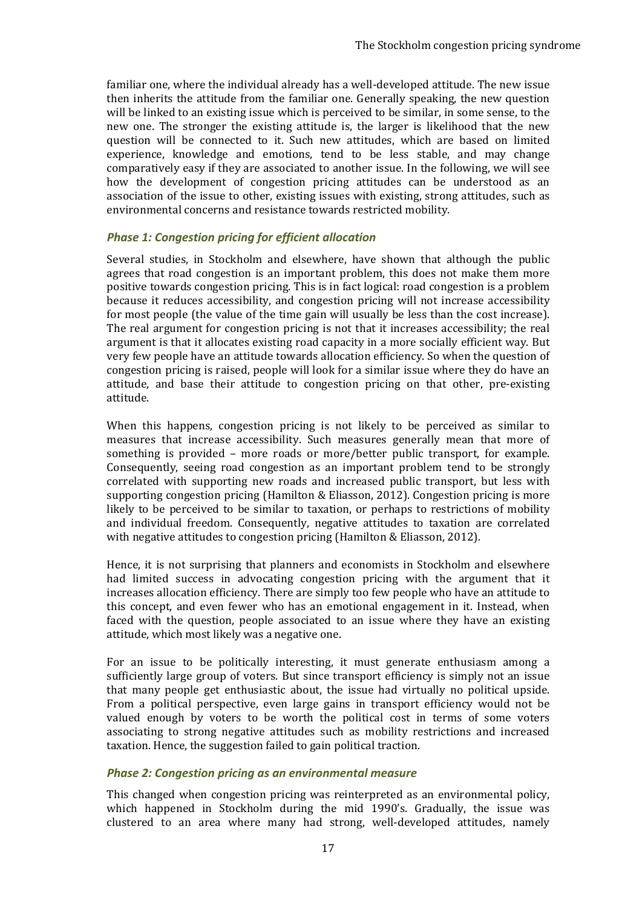familiar one, where the individual already has a well-developed attitude. The new issue then inherits the attitude from the familiar one. Generally speaking, the new question will be linked to an existing issue which is perceived to be similar, in some sense, to the new one. The stronger the existing attitude is, the larger is likelihood that the new question will be connected to it. Such new attitudes, which are based on limited experience, knowledge and emotions, tend to be less stable, and may change comparatively easy if they are associated to another issue. In the following, we will see how the development of congestion pricing attitudes can be understood as an association of the issue to other, existing issues with existing, strong attitudes, such as environmental concerns and resistance towards restricted mobility.

### *Phase 1: Congestion pricing for efficient allocation*

Several studies, in Stockholm and elsewhere, have shown that although the public agrees that road congestion is an important problem, this does not make them more positive towards congestion pricing. This is in fact logical: road congestion is a problem because it reduces accessibility, and congestion pricing will not increase accessibility for most people (the value of the time gain will usually be less than the cost increase). The real argument for congestion pricing is not that it increases accessibility; the real argument is that it allocates existing road capacity in a more socially efficient way. But very few people have an attitude towards allocation efficiency. So when the question of congestion pricing is raised, people will look for a similar issue where they do have an attitude, and base their attitude to congestion pricing on that other, pre-existing attitude. 

When this happens, congestion pricing is not likely to be perceived as similar to measures that increase accessibility. Such measures generally mean that more of something is provided – more roads or more/better public transport, for example. Consequently, seeing road congestion as an important problem tend to be strongly correlated with supporting new roads and increased public transport, but less with supporting congestion pricing (Hamilton & Eliasson, 2012). Congestion pricing is more likely to be perceived to be similar to taxation, or perhaps to restrictions of mobility and individual freedom. Consequently, negative attitudes to taxation are correlated with negative attitudes to congestion pricing (Hamilton & Eliasson, 2012).

Hence, it is not surprising that planners and economists in Stockholm and elsewhere had limited success in advocating congestion pricing with the argument that it increases allocation efficiency. There are simply too few people who have an attitude to this concept, and even fewer who has an emotional engagement in it. Instead, when faced with the question, people associated to an issue where they have an existing attitude, which most likely was a negative one.

For an issue to be politically interesting, it must generate enthusiasm among a sufficiently large group of voters. But since transport efficiency is simply not an issue that many people get enthusiastic about, the issue had virtually no political upside. From a political perspective, even large gains in transport efficiency would not be valued enough by voters to be worth the political cost in terms of some voters associating to strong negative attitudes such as mobility restrictions and increased taxation. Hence, the suggestion failed to gain political traction.

#### *Phase 2: Congestion pricing as an environmental measure*

This changed when congestion pricing was reinterpreted as an environmental policy, which happened in Stockholm during the mid 1990's. Gradually, the issue was clustered to an area where many had strong, well-developed attitudes, namely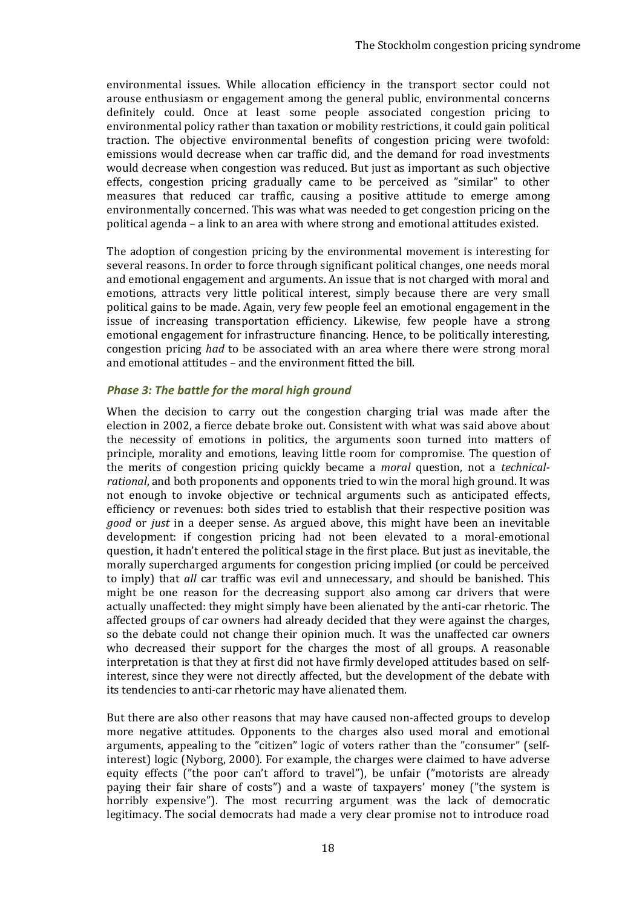environmental issues. While allocation efficiency in the transport sector could not arouse enthusiasm or engagement among the general public, environmental concerns definitely could. Once at least some people associated congestion pricing to environmental policy rather than taxation or mobility restrictions, it could gain political traction. The objective environmental benefits of congestion pricing were twofold: emissions would decrease when car traffic did, and the demand for road investments would decrease when congestion was reduced. But just as important as such objective effects, congestion pricing gradually came to be perceived as "similar" to other measures that reduced car traffic, causing a positive attitude to emerge among environmentally concerned. This was what was needed to get congestion pricing on the political agenda – a link to an area with where strong and emotional attitudes existed.

The adoption of congestion pricing by the environmental movement is interesting for several reasons. In order to force through significant political changes, one needs moral and emotional engagement and arguments. An issue that is not charged with moral and emotions, attracts very little political interest, simply because there are very small political gains to be made. Again, very few people feel an emotional engagement in the issue of increasing transportation efficiency. Likewise, few people have a strong emotional engagement for infrastructure financing. Hence, to be politically interesting, congestion pricing *had* to be associated with an area where there were strong moral and emotional attitudes – and the environment fitted the bill.

### *Phase 3: The battle for the moral high ground*

When the decision to carry out the congestion charging trial was made after the election in 2002, a fierce debate broke out. Consistent with what was said above about the necessity of emotions in politics, the arguments soon turned into matters of principle, morality and emotions, leaving little room for compromise. The question of the merits of congestion pricing quickly became a *moral* question, not a *technical* rational, and both proponents and opponents tried to win the moral high ground. It was not enough to invoke objective or technical arguments such as anticipated effects, efficiency or revenues: both sides tried to establish that their respective position was *good* or *just* in a deeper sense. As argued above, this might have been an inevitable development: if congestion pricing had not been elevated to a moral-emotional question, it hadn't entered the political stage in the first place. But just as inevitable, the morally supercharged arguments for congestion pricing implied (or could be perceived to imply) that *all* car traffic was evil and unnecessary, and should be banished. This might be one reason for the decreasing support also among car drivers that were actually unaffected: they might simply have been alienated by the anti-car rhetoric. The affected groups of car owners had already decided that they were against the charges, so the debate could not change their opinion much. It was the unaffected car owners who decreased their support for the charges the most of all groups. A reasonable interpretation is that they at first did not have firmly developed attitudes based on selfinterest, since they were not directly affected, but the development of the debate with its tendencies to anti-car rhetoric may have alienated them.

But there are also other reasons that may have caused non-affected groups to develop more negative attitudes. Opponents to the charges also used moral and emotional arguments, appealing to the "citizen" logic of voters rather than the "consumer" (selfinterest) logic (Nyborg, 2000). For example, the charges were claimed to have adverse equity effects ("the poor can't afford to travel"), be unfair ("motorists are already paying their fair share of costs") and a waste of taxpayers' money ("the system is horribly expensive"). The most recurring argument was the lack of democratic legitimacy. The social democrats had made a very clear promise not to introduce road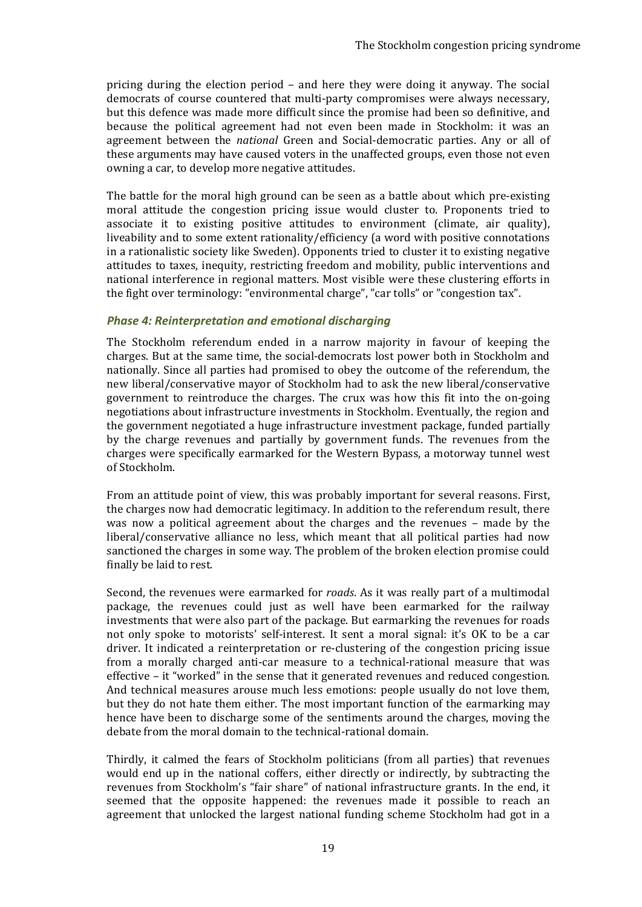pricing during the election period – and here they were doing it anyway. The social democrats of course countered that multi-party compromises were always necessary, but this defence was made more difficult since the promise had been so definitive, and because the political agreement had not even been made in Stockholm: it was an agreement between the *national* Green and Social-democratic parties. Any or all of these arguments may have caused voters in the unaffected groups, even those not even owning a car, to develop more negative attitudes.

The battle for the moral high ground can be seen as a battle about which pre-existing moral attitude the congestion pricing issue would cluster to. Proponents tried to associate it to existing positive attitudes to environment (climate, air quality), liveability and to some extent rationality/efficiency (a word with positive connotations in a rationalistic society like Sweden). Opponents tried to cluster it to existing negative attitudes to taxes, inequity, restricting freedom and mobility, public interventions and national interference in regional matters. Most visible were these clustering efforts in the fight over terminology: "environmental charge", "car tolls" or "congestion tax".

### *Phase 4: Reinterpretation and emotional discharging*

The Stockholm referendum ended in a narrow majority in favour of keeping the charges. But at the same time, the social-democrats lost power both in Stockholm and nationally. Since all parties had promised to obey the outcome of the referendum, the new liberal/conservative mayor of Stockholm had to ask the new liberal/conservative government to reintroduce the charges. The crux was how this fit into the on-going negotiations about infrastructure investments in Stockholm. Eventually, the region and the government negotiated a huge infrastructure investment package, funded partially by the charge revenues and partially by government funds. The revenues from the charges were specifically earmarked for the Western Bypass, a motorway tunnel west of Stockholm.

From an attitude point of view, this was probably important for several reasons. First, the charges now had democratic legitimacy. In addition to the referendum result, there was now a political agreement about the charges and the revenues  $-$  made by the liberal/conservative alliance no less, which meant that all political parties had now sanctioned the charges in some way. The problem of the broken election promise could finally be laid to rest.

Second, the revenues were earmarked for *roads*. As it was really part of a multimodal package, the revenues could just as well have been earmarked for the railway investments that were also part of the package. But earmarking the revenues for roads not only spoke to motorists' self-interest. It sent a moral signal: it's OK to be a car driver. It indicated a reinterpretation or re-clustering of the congestion pricing issue from a morally charged anti-car measure to a technical-rational measure that was effective  $-$  it "worked" in the sense that it generated revenues and reduced congestion. And technical measures arouse much less emotions: people usually do not love them, but they do not hate them either. The most important function of the earmarking may hence have been to discharge some of the sentiments around the charges, moving the debate from the moral domain to the technical-rational domain.

Thirdly, it calmed the fears of Stockholm politicians (from all parties) that revenues would end up in the national coffers, either directly or indirectly, by subtracting the revenues from Stockholm's "fair share" of national infrastructure grants. In the end, it seemed that the opposite happened: the revenues made it possible to reach an agreement that unlocked the largest national funding scheme Stockholm had got in a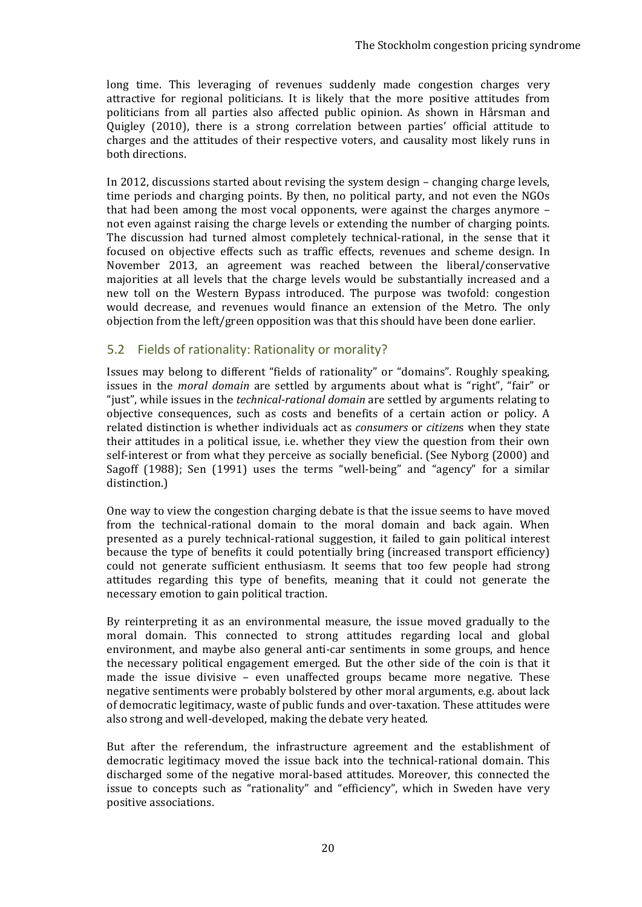long time. This leveraging of revenues suddenly made congestion charges very attractive for regional politicians. It is likely that the more positive attitudes from politicians from all parties also affected public opinion. As shown in Hårsman and Quigley (2010), there is a strong correlation between parties' official attitude to charges and the attitudes of their respective voters, and causality most likely runs in both directions.

In 2012, discussions started about revising the system design  $-$  changing charge levels, time periods and charging points. By then, no political party, and not even the NGOs that had been among the most vocal opponents, were against the charges anymore  $$ not even against raising the charge levels or extending the number of charging points. The discussion had turned almost completely technical-rational, in the sense that it focused on objective effects such as traffic effects, revenues and scheme design. In November 2013, an agreement was reached between the liberal/conservative majorities at all levels that the charge levels would be substantially increased and a new toll on the Western Bypass introduced. The purpose was twofold: congestion would decrease, and revenues would finance an extension of the Metro. The only objection from the left/green opposition was that this should have been done earlier.

## 5.2 Fields of rationality: Rationality or morality?

Issues may belong to different "fields of rationality" or "domains". Roughly speaking, issues in the *moral domain* are settled by arguments about what is "right", "fair" or "just", while issues in the *technical*-*rational domain* are settled by arguments relating to objective consequences, such as costs and benefits of a certain action or policy. A related distinction is whether individuals act as *consumers* or *citizens* when they state their attitudes in a political issue, i.e. whether they view the question from their own self-interest or from what they perceive as socially beneficial. (See Nyborg (2000) and Sagoff  $(1988)$ ; Sen  $(1991)$  uses the terms "well-being" and "agency" for a similar distinction.) 

One way to view the congestion charging debate is that the issue seems to have moved from the technical-rational domain to the moral domain and back again. When presented as a purely technical-rational suggestion, it failed to gain political interest because the type of benefits it could potentially bring (increased transport efficiency) could not generate sufficient enthusiasm. It seems that too few people had strong attitudes regarding this type of benefits, meaning that it could not generate the necessary emotion to gain political traction.

By reinterpreting it as an environmental measure, the issue moved gradually to the moral domain. This connected to strong attitudes regarding local and global environment, and maybe also general anti-car sentiments in some groups, and hence the necessary political engagement emerged. But the other side of the coin is that it made the issue divisive  $-$  even unaffected groups became more negative. These negative sentiments were probably bolstered by other moral arguments, e.g. about lack of democratic legitimacy, waste of public funds and over-taxation. These attitudes were also strong and well-developed, making the debate very heated.

But after the referendum, the infrastructure agreement and the establishment of democratic legitimacy moved the issue back into the technical-rational domain. This discharged some of the negative moral-based attitudes. Moreover, this connected the issue to concepts such as "rationality" and "efficiency", which in Sweden have very positive associations.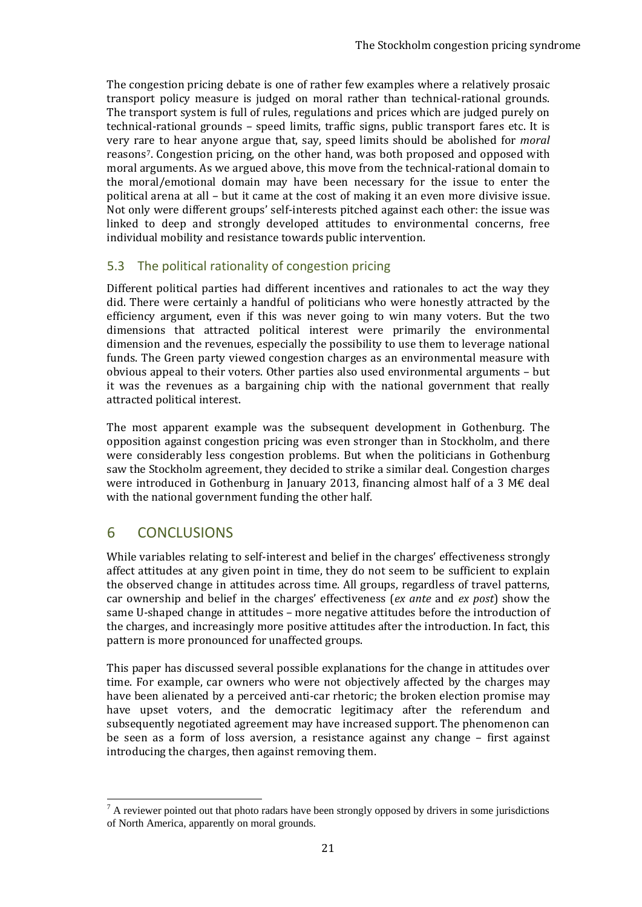The congestion pricing debate is one of rather few examples where a relatively prosaic transport policy measure is judged on moral rather than technical-rational grounds. The transport system is full of rules, regulations and prices which are judged purely on technical-rational grounds – speed limits, traffic signs, public transport fares etc. It is very rare to hear anyone argue that, say, speed limits should be abolished for *moral* reasons<sup>7</sup>. Congestion pricing, on the other hand, was both proposed and opposed with moral arguments. As we argued above, this move from the technical-rational domain to the moral/emotional domain may have been necessary for the issue to enter the political arena at all – but it came at the cost of making it an even more divisive issue. Not only were different groups' self-interests pitched against each other: the issue was linked to deep and strongly developed attitudes to environmental concerns, free individual mobility and resistance towards public intervention.

## 5.3 The political rationality of congestion pricing

Different political parties had different incentives and rationales to act the way they did. There were certainly a handful of politicians who were honestly attracted by the efficiency argument, even if this was never going to win many voters. But the two dimensions that attracted political interest were primarily the environmental dimension and the revenues, especially the possibility to use them to leverage national funds. The Green party viewed congestion charges as an environmental measure with obvious appeal to their voters. Other parties also used environmental arguments - but it was the revenues as a bargaining chip with the national government that really attracted political interest.

The most apparent example was the subsequent development in Gothenburg. The opposition against congestion pricing was even stronger than in Stockholm, and there were considerably less congestion problems. But when the politicians in Gothenburg saw the Stockholm agreement, they decided to strike a similar deal. Congestion charges were introduced in Gothenburg in January 2013, financing almost half of a 3 M $\epsilon$  deal with the national government funding the other half.

## 6 CONCLUSIONS

While variables relating to self-interest and belief in the charges' effectiveness strongly affect attitudes at any given point in time, they do not seem to be sufficient to explain the observed change in attitudes across time. All groups, regardless of travel patterns, car ownership and belief in the charges' effectiveness (*ex ante* and *ex post*) show the same U-shaped change in attitudes – more negative attitudes before the introduction of the charges, and increasingly more positive attitudes after the introduction. In fact, this pattern is more pronounced for unaffected groups.

This paper has discussed several possible explanations for the change in attitudes over time. For example, car owners who were not objectively affected by the charges may have been alienated by a perceived anti-car rhetoric; the broken election promise may have upset voters, and the democratic legitimacy after the referendum and subsequently negotiated agreement may have increased support. The phenomenon can be seen as a form of loss aversion, a resistance against any change  $-$  first against introducing the charges, then against removing them.

  $<sup>7</sup>$  A reviewer pointed out that photo radars have been strongly opposed by drivers in some jurisdictions</sup> of North America, apparently on moral grounds.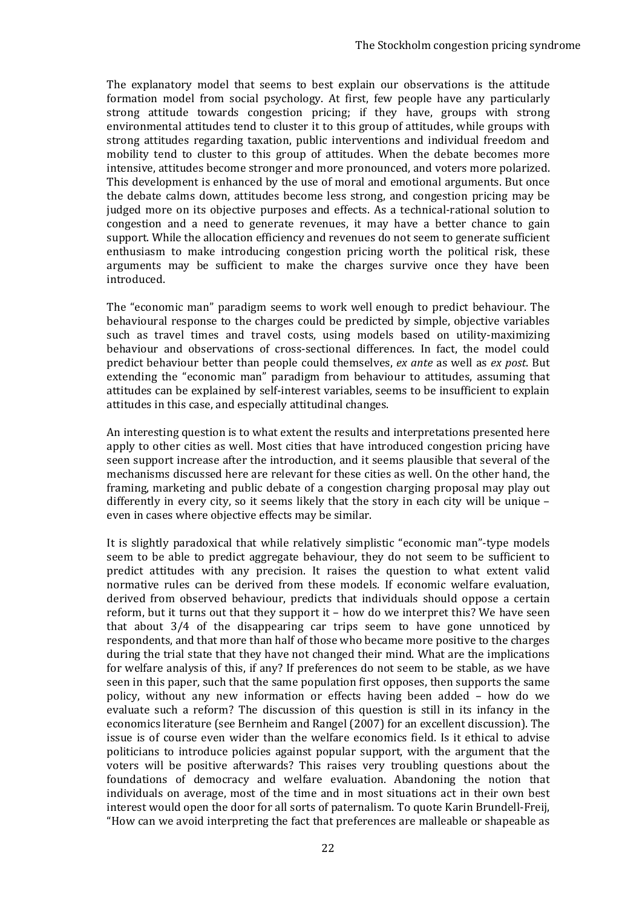The explanatory model that seems to best explain our observations is the attitude formation model from social psychology. At first, few people have any particularly strong attitude towards congestion pricing; if they have, groups with strong environmental attitudes tend to cluster it to this group of attitudes, while groups with strong attitudes regarding taxation, public interventions and individual freedom and mobility tend to cluster to this group of attitudes. When the debate becomes more intensive, attitudes become stronger and more pronounced, and voters more polarized. This development is enhanced by the use of moral and emotional arguments. But once the debate calms down, attitudes become less strong, and congestion pricing may be judged more on its objective purposes and effects. As a technical-rational solution to congestion and a need to generate revenues, it may have a better chance to gain support. While the allocation efficiency and revenues do not seem to generate sufficient enthusiasm to make introducing congestion pricing worth the political risk, these arguments may be sufficient to make the charges survive once they have been introduced. 

The "economic man" paradigm seems to work well enough to predict behaviour. The behavioural response to the charges could be predicted by simple, objective variables such as travel times and travel costs, using models based on utility-maximizing behaviour and observations of cross-sectional differences. In fact, the model could predict behaviour better than people could themselves, *ex ante* as well as *ex post*. But extending the "economic man" paradigm from behaviour to attitudes, assuming that attitudes can be explained by self-interest variables, seems to be insufficient to explain attitudes in this case, and especially attitudinal changes.

An interesting question is to what extent the results and interpretations presented here apply to other cities as well. Most cities that have introduced congestion pricing have seen support increase after the introduction, and it seems plausible that several of the mechanisms discussed here are relevant for these cities as well. On the other hand, the framing, marketing and public debate of a congestion charging proposal may play out differently in every city, so it seems likely that the story in each city will be unique  $$ even in cases where objective effects may be similar.

It is slightly paradoxical that while relatively simplistic "economic man"-type models seem to be able to predict aggregate behaviour, they do not seem to be sufficient to predict attitudes with any precision. It raises the question to what extent valid normative rules can be derived from these models. If economic welfare evaluation, derived from observed behaviour, predicts that individuals should oppose a certain reform, but it turns out that they support it  $-$  how do we interpret this? We have seen that about  $3/4$  of the disappearing car trips seem to have gone unnoticed by respondents, and that more than half of those who became more positive to the charges during the trial state that they have not changed their mind. What are the implications for welfare analysis of this, if any? If preferences do not seem to be stable, as we have seen in this paper, such that the same population first opposes, then supports the same policy, without any new information or effects having been added – how do we evaluate such a reform? The discussion of this question is still in its infancy in the economics literature (see Bernheim and Rangel (2007) for an excellent discussion). The issue is of course even wider than the welfare economics field. Is it ethical to advise politicians to introduce policies against popular support, with the argument that the voters will be positive afterwards? This raises very troubling questions about the foundations of democracy and welfare evaluation. Abandoning the notion that individuals on average, most of the time and in most situations act in their own best interest would open the door for all sorts of paternalism. To quote Karin Brundell-Freij, "How can we avoid interpreting the fact that preferences are malleable or shapeable as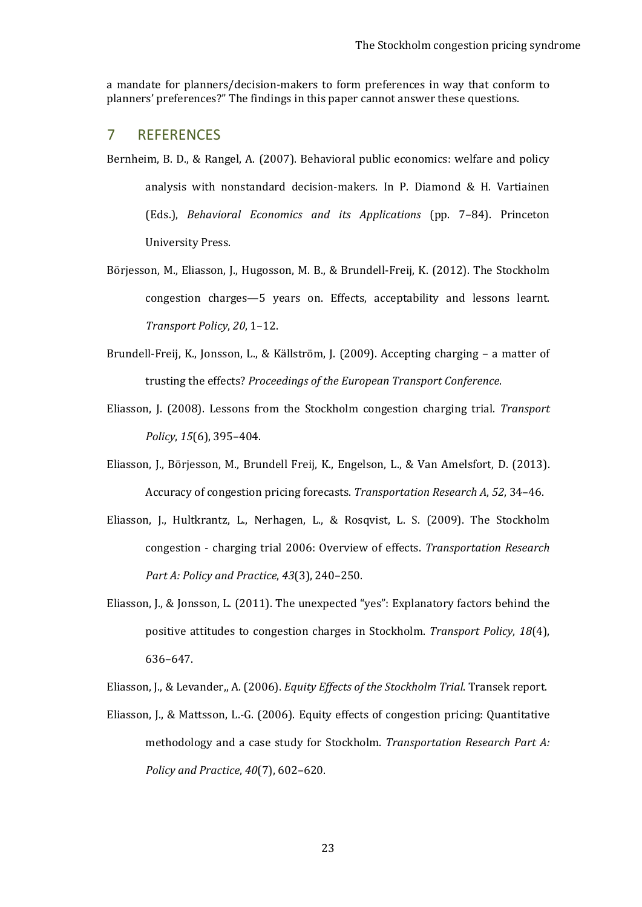a mandate for planners/decision-makers to form preferences in way that conform to planners' preferences?" The findings in this paper cannot answer these questions.

#### 7 REFERENCES

- Bernheim, B. D., & Rangel, A. (2007). Behavioral public economics: welfare and policy analysis with nonstandard decision-makers. In P. Diamond  $\&$  H. Vartiainen (Eds.), *Behavioral Economics and its Applications* (pp. 7–84). Princeton University Press.
- Börjesson, M., Eliasson, J., Hugosson, M. B., & Brundell-Freij, K. (2012). The Stockholm congestion charges—5 years on. Effects, acceptability and lessons learnt. *Transport Policy, 20, 1-12.*
- Brundell-Freij, K., Jonsson, L., & Källström, J. (2009). Accepting charging  $-$  a matter of trusting the effects? *Proceedings of the European Transport Conference*.
- Eliasson, J. (2008). Lessons from the Stockholm congestion charging trial. *Transport Policy*, *15*(6), 395–404.
- Eliasson, J., Börjesson, M., Brundell Freij, K., Engelson, L., & Van Amelsfort, D. (2013). Accuracy of congestion pricing forecasts. *Transportation Research A*, *52*, 34–46.
- Eliasson, J., Hultkrantz, L., Nerhagen, L., & Rosqvist, L. S. (2009). The Stockholm congestion ‐ charging trial 2006: Overview of effects. *Transportation Research Part A: Policy and Practice*, *43*(3), 240–250.
- Eliasson, J., & Jonsson, L. (2011). The unexpected "yes": Explanatory factors behind the positive attitudes to congestion charges in Stockholm. *Transport Policy*, 18(4), 636–647.
- Eliasson, J., & Levander,, A. (2006). *Equity Effects of the Stockholm Trial*. Transek report.
- Eliasson, J., & Mattsson, L.-G. (2006). Equity effects of congestion pricing: Quantitative methodology and a case study for Stockholm. *Transportation Research Part A: Policy and Practice*,  $40(7)$ , 602-620.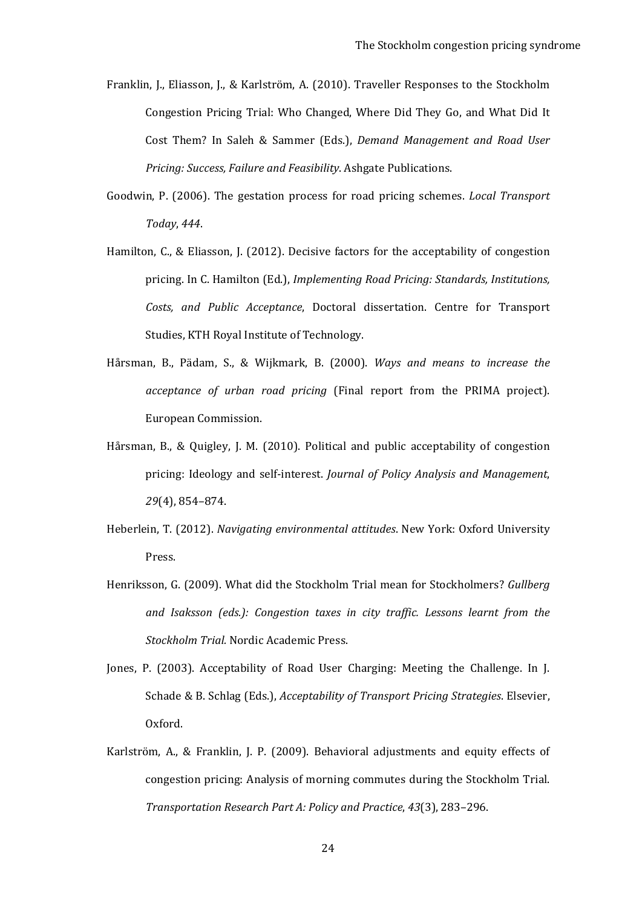- Franklin, J., Eliasson, J., & Karlström, A. (2010). Traveller Responses to the Stockholm Congestion Pricing Trial: Who Changed, Where Did They Go, and What Did It Cost Them? In Saleh & Sammer (Eds.), *Demand Management and Road User Pricing: Success, Failure and Feasibility*. Ashgate Publications.
- Goodwin, P. (2006). The gestation process for road pricing schemes. *Local Transport Today*, *444*.
- Hamilton, C., & Eliasson, J. (2012). Decisive factors for the acceptability of congestion pricing. In C. Hamilton (Ed.), *Implementing Road Pricing: Standards, Institutions, Costs, and Public Acceptance*, Doctoral dissertation. Centre for Transport Studies, KTH Royal Institute of Technology.
- Hårsman, B., Pädam, S., & Wijkmark, B. (2000). *Ways and means to increase the acceptance of urban road pricing* (Final report from the PRIMA project). European Commission.
- Hårsman, B., & Quigley, J. M. (2010). Political and public acceptability of congestion pricing: Ideology and self‐interest. *Journal of Policy Analysis and Management*, *29*(4), 854–874.
- Heberlein, T. (2012). *Navigating environmental attitudes*. New York: Oxford University Press.
- Henriksson, G. (2009). What did the Stockholm Trial mean for Stockholmers? *Gullberg and Isaksson (eds.): Congestion taxes in city traffic. Lessons learnt from the Stockholm Trial.* Nordic Academic Press.
- Jones, P. (2003). Acceptability of Road User Charging: Meeting the Challenge. In J. Schade & B. Schlag (Eds.), *Acceptability of Transport Pricing Strategies*. Elsevier, Oxford.
- Karlström, A., & Franklin, J. P. (2009). Behavioral adjustments and equity effects of congestion pricing: Analysis of morning commutes during the Stockholm Trial. *Transportation Research Part A: Policy and Practice*, *43*(3), 283–296.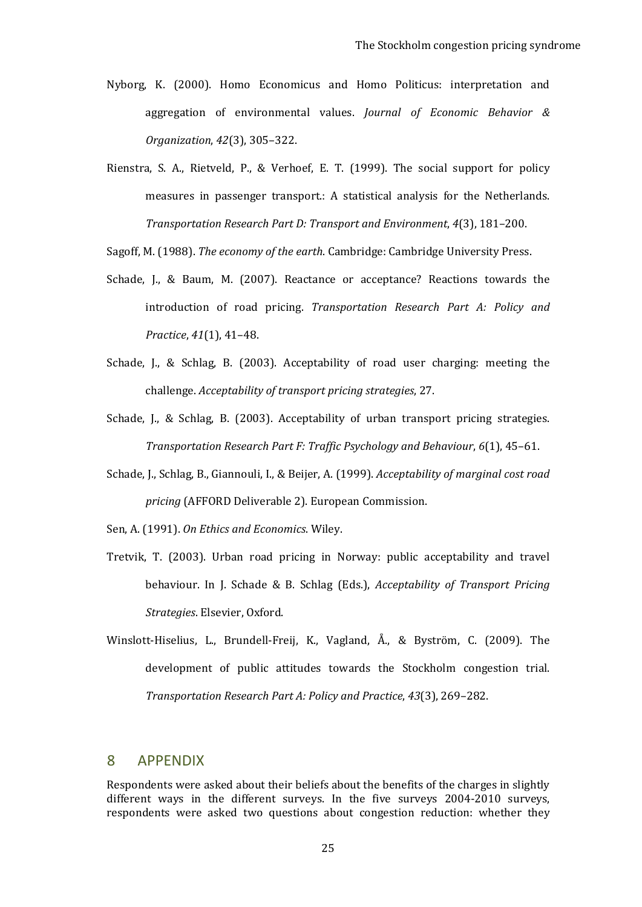- Nyborg, K. (2000). Homo Economicus and Homo Politicus: interpretation and aggregation of environmental values. *Journal of Economic Behavior & Organization*, *42*(3), 305–322.
- Rienstra, S. A., Rietveld, P., & Verhoef, E. T. (1999). The social support for policy measures in passenger transport.: A statistical analysis for the Netherlands. *Transportation Research Part D: Transport and Environment*, *4*(3), 181–200.

Sagoff, M. (1988). *The economy of the earth*. Cambridge: Cambridge University Press.

- Schade, J., & Baum, M.  $(2007)$ . Reactance or acceptance? Reactions towards the introduction of road pricing. *Transportation Research Part A: Policy and Practice*, *41*(1), 41–48.
- Schade, I., & Schlag, B. (2003). Acceptability of road user charging: meeting the challenge. *Acceptability of transport pricing strategies*, 27.
- Schade, J., & Schlag, B. (2003). Acceptability of urban transport pricing strategies. *Transportation Research Part F: Traffic Psychology and Behaviour*, *6*(1), 45–61.
- Schade, J., Schlag, B., Giannouli, I., & Beijer, A. (1999). *Acceptability of marginal cost road pricing* (AFFORD Deliverable 2). European Commission.
- Sen, A. (1991). On *Ethics and Economics*. Wiley.
- Tretvik, T. (2003). Urban road pricing in Norway: public acceptability and travel behaviour. In J. Schade & B. Schlag (Eds.), *Acceptability of Transport Pricing Strategies*. Elsevier, Oxford.
- Winslott-Hiselius, L., Brundell-Freij, K., Vagland, Å., & Byström, C. (2009). The development of public attitudes towards the Stockholm congestion trial. *Transportation Research Part A: Policy and Practice*, *43*(3), 269–282.

### 8 APPENDIX

Respondents were asked about their beliefs about the benefits of the charges in slightly different ways in the different surveys. In the five surveys  $2004-2010$  surveys, respondents were asked two questions about congestion reduction: whether they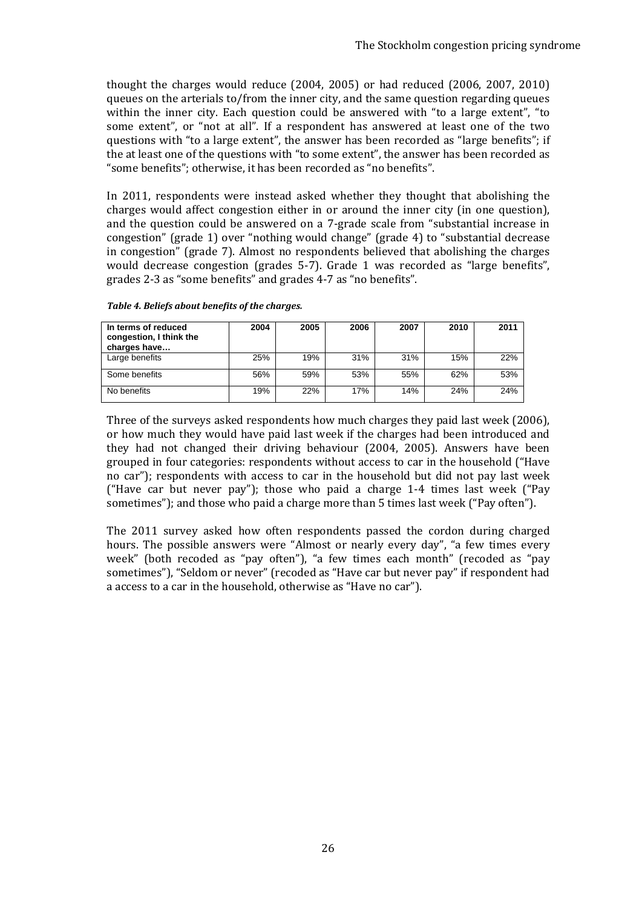thought the charges would reduce  $(2004, 2005)$  or had reduced  $(2006, 2007, 2010)$ queues on the arterials to/from the inner city, and the same question regarding queues within the inner city. Each question could be answered with "to a large extent", "to some extent", or "not at all". If a respondent has answered at least one of the two questions with "to a large extent", the answer has been recorded as "large benefits"; if the at least one of the questions with "to some extent", the answer has been recorded as "some benefits"; otherwise, it has been recorded as "no benefits".

In 2011, respondents were instead asked whether they thought that abolishing the charges would affect congestion either in or around the inner city (in one question), and the question could be answered on a 7-grade scale from "substantial increase in congestion" (grade 1) over "nothing would change" (grade 4) to "substantial decrease in congestion" (grade 7). Almost no respondents believed that abolishing the charges would decrease congestion (grades 5-7). Grade 1 was recorded as "large benefits", grades 2-3 as "some benefits" and grades 4-7 as "no benefits".

| In terms of reduced<br>congestion, I think the<br>charges have | 2004 | 2005 | 2006 | 2007 | 2010 | 2011 |
|----------------------------------------------------------------|------|------|------|------|------|------|
| Large benefits                                                 | 25%  | 19%  | 31%  | 31%  | 15%  | 22%  |
| Some benefits                                                  | 56%  | 59%  | 53%  | 55%  | 62%  | 53%  |
| No benefits                                                    | 19%  | 22%  | 17%  | 14%  | 24%  | 24%  |

*Table 4. Beliefs about benefits of the charges.*

Three of the surveys asked respondents how much charges they paid last week  $(2006)$ , or how much they would have paid last week if the charges had been introduced and they had not changed their driving behaviour (2004, 2005). Answers have been grouped in four categories: respondents without access to car in the household ("Have no car"); respondents with access to car in the household but did not pay last week ("Have car but never pay"); those who paid a charge 1-4 times last week ("Pay sometimes"); and those who paid a charge more than 5 times last week ("Pay often").

The 2011 survey asked how often respondents passed the cordon during charged hours. The possible answers were "Almost or nearly every day", "a few times every week" (both recoded as "pay often"), "a few times each month" (recoded as "pay sometimes"), "Seldom or never" (recoded as "Have car but never pay" if respondent had a access to a car in the household, otherwise as "Have no car").